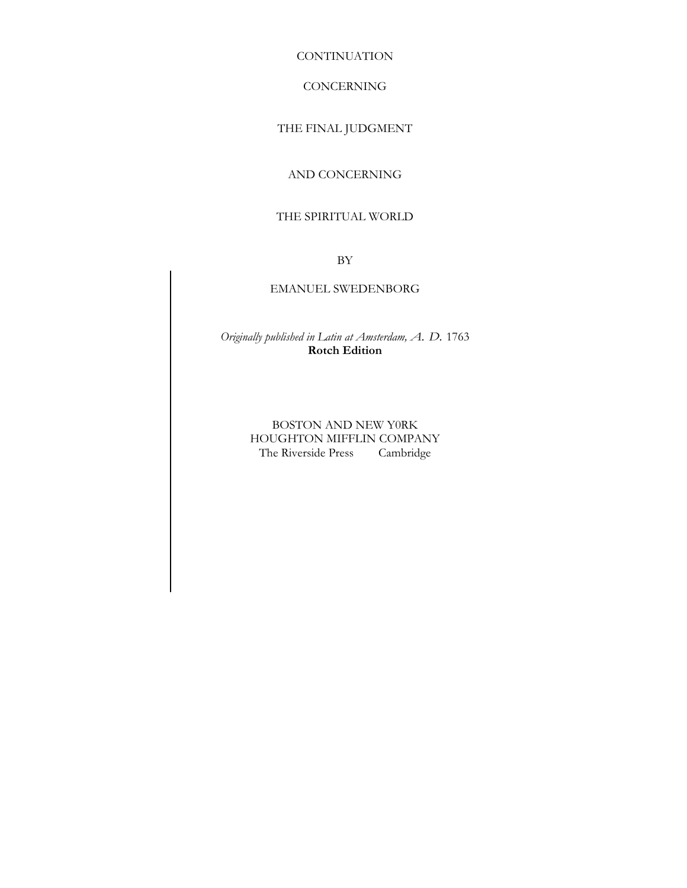**CONTINUATION** 

## CONCERNING

# THE FINAL JUDGMENT

# AND CONCERNING

# THE SPIRITUAL WORLD

BY

## EMANUEL SWEDENBORG

*Originally published in Latin at Amsterdam, A. D.* 1763 **Rotch Edition** 

> BOSTON AND NEW Y0RK HOUGHTON MIFFLIN COMPANY The Riverside Press Cambridge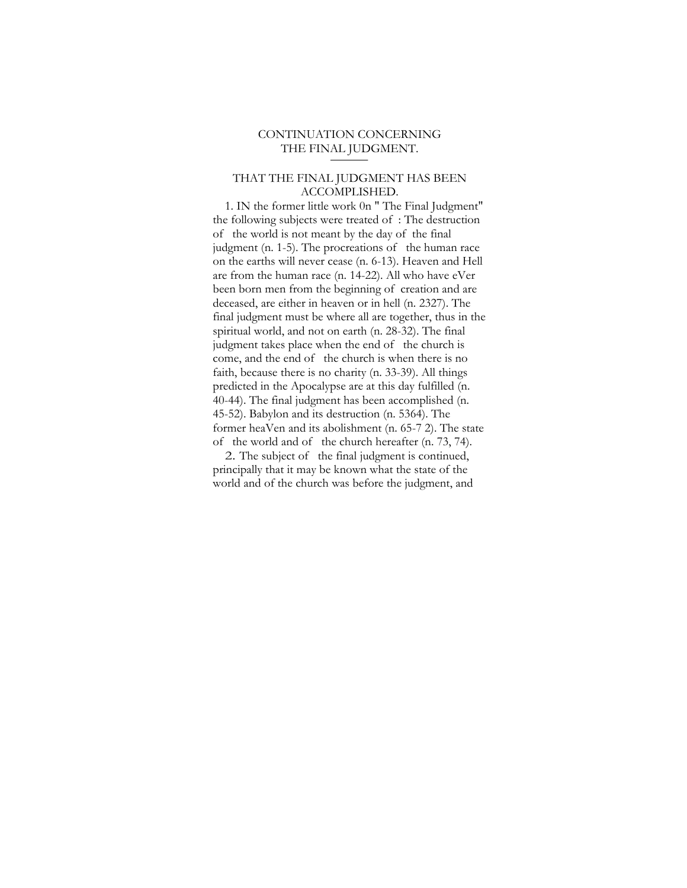# CONTINUATION CONCERNING THE FINAL JUDGMENT.

## THAT THE FINAL JUDGMENT HAS BEEN ACCOMPLISHED.

1. IN the former little work 0n " The Final Judgment" the following subjects were treated of : The destruction of the world is not meant by the day of the final judgment (n. 1-5). The procreations of the human race on the earths will never cease (n. 6-13). Heaven and Hell are from the human race (n. 14-22). All who have eVer been born men from the beginning of creation and are deceased, are either in heaven or in hell (n. 2327). The final judgment must be where all are together, thus in the spiritual world, and not on earth (n. 28-32). The final judgment takes place when the end of the church is come, and the end of the church is when there is no faith, because there is no charity (n. 33-39). All things predicted in the Apocalypse are at this day fulfilled (n. 40-44). The final judgment has been accomplished (n. 45-52). Babylon and its destruction (n. 5364). The former heaVen and its abolishment (n. 65-7 2). The state of the world and of the church hereafter (n. 73, 74).

2. The subject of the final judgment is continued, principally that it may be known what the state of the world and of the church was before the judgment, and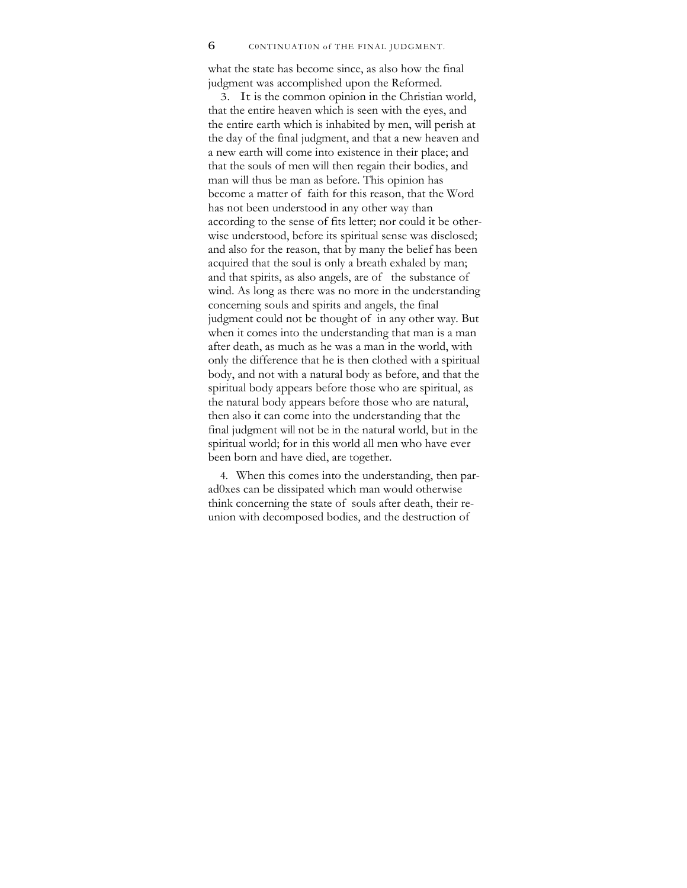what the state has become since, as also how the final judgment was accomplished upon the Reformed.

3. It is the common opinion in the Christian world, that the entire heaven which is seen with the eyes, and the entire earth which is inhabited by men, will perish at the day of the final judgment, and that a new heaven and a new earth will come into existence in their place; and that the souls of men will then regain their bodies, and man will thus be man as before. This opinion has become a matter of faith for this reason, that the Word has not been understood in any other way than according to the sense of fits letter; nor could it be otherwise understood, before its spiritual sense was disclosed; and also for the reason, that by many the belief has been acquired that the soul is only a breath exhaled by man; and that spirits, as also angels, are of the substance of wind. As long as there was no more in the understanding concerning souls and spirits and angels, the final judgment could not be thought of in any other way. But when it comes into the understanding that man is a man after death, as much as he was a man in the world, with only the difference that he is then clothed with a spiritual body, and not with a natural body as before, and that the spiritual body appears before those who are spiritual, as the natural body appears before those who are natural, then also it can come into the understanding that the final judgment will not be in the natural world, but in the spiritual world; for in this world all men who have ever been born and have died, are together.

4. When this comes into the understanding, then parad0xes can be dissipated which man would otherwise think concerning the state of souls after death, their reunion with decomposed bodies, and the destruction of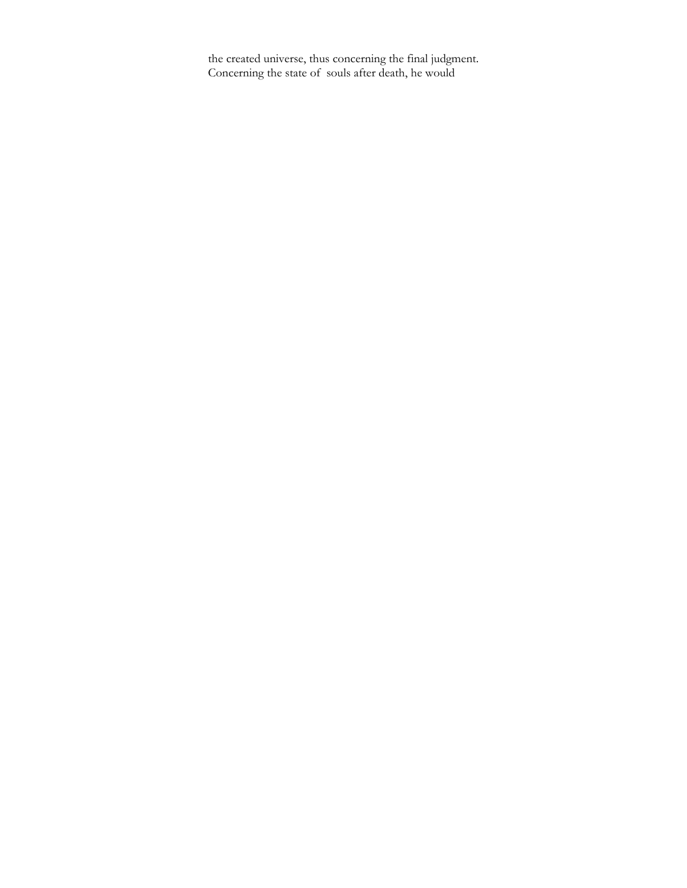the created universe, thus concerning the final judgment. Concerning the state of souls after death, he would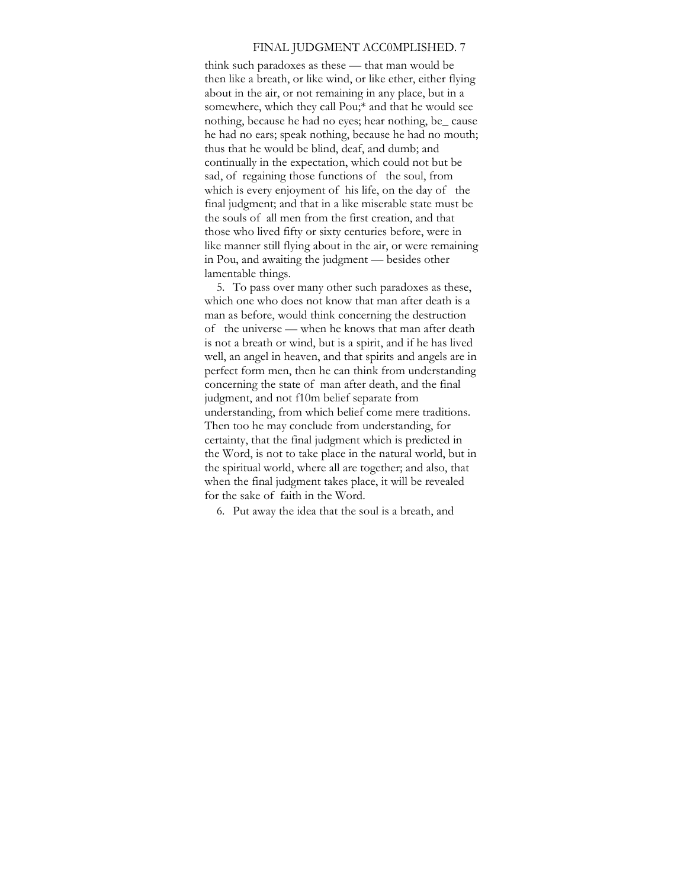#### FINAL JUDGMENT ACC0MPLISHED. 7

think such paradoxes as these — that man would be then like a breath, or like wind, or like ether, either flying about in the air, or not remaining in any place, but in a somewhere, which they call Pou;\* and that he would see nothing, because he had no eyes; hear nothing, be\_ cause he had no ears; speak nothing, because he had no mouth; thus that he would be blind, deaf, and dumb; and continually in the expectation, which could not but be sad, of regaining those functions of the soul, from which is every enjoyment of his life, on the day of the final judgment; and that in a like miserable state must be the souls of all men from the first creation, and that those who lived fifty or sixty centuries before, were in like manner still flying about in the air, or were remaining in Pou, and awaiting the judgment — besides other lamentable things.

5. To pass over many other such paradoxes as these, which one who does not know that man after death is a man as before, would think concerning the destruction of the universe — when he knows that man after death is not a breath or wind, but is a spirit, and if he has lived well, an angel in heaven, and that spirits and angels are in perfect form men, then he can think from understanding concerning the state of man after death, and the final judgment, and not f10m belief separate from understanding, from which belief come mere traditions. Then too he may conclude from understanding, for certainty, that the final judgment which is predicted in the Word, is not to take place in the natural world, but in the spiritual world, where all are together; and also, that when the final judgment takes place, it will be revealed for the sake of faith in the Word.

6. Put away the idea that the soul is a breath, and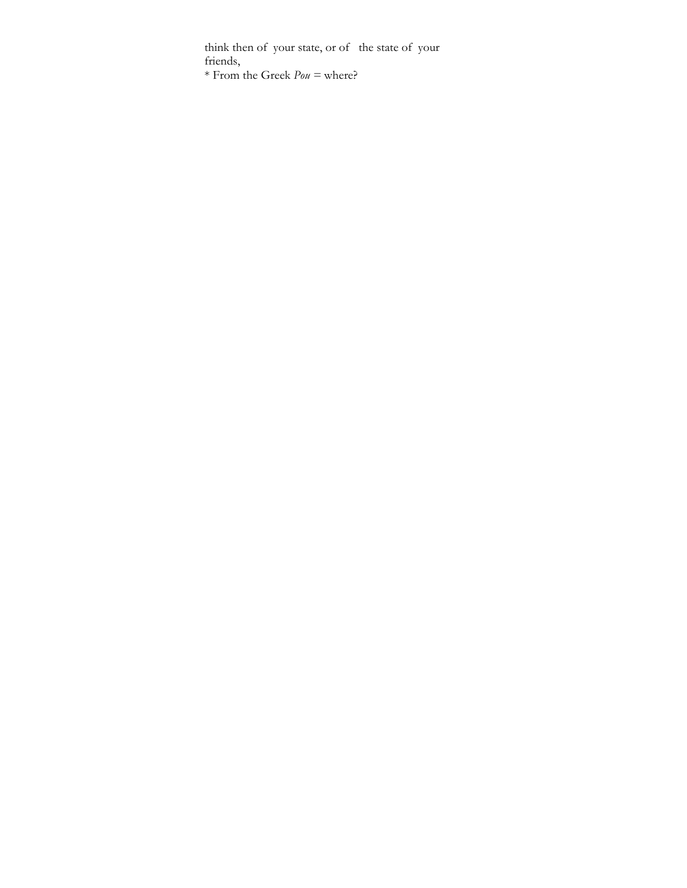think then of your state, or of the state of your friends,

\* From the Greek *Pou =* where?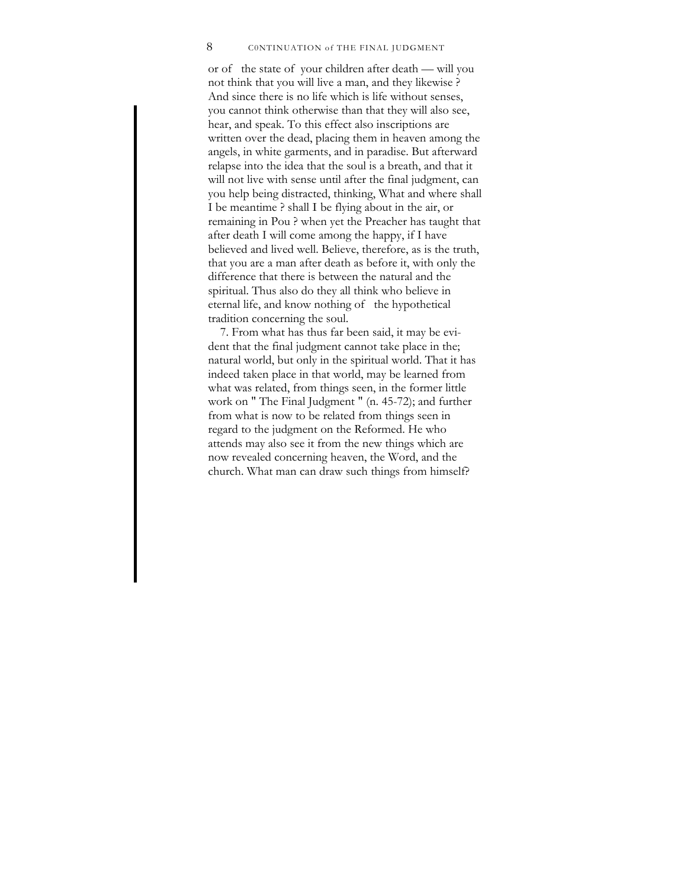## 8 CONTINUATION of THE FINAL JUDGMENT

or of the state of your children after death — will you not think that you will live a man, and they likewise ? And since there is no life which is life without senses, you cannot think otherwise than that they will also see, hear, and speak. To this effect also inscriptions are written over the dead, placing them in heaven among the angels, in white garments, and in paradise. But afterward relapse into the idea that the soul is a breath, and that it will not live with sense until after the final judgment, can you help being distracted, thinking, What and where shall I be meantime ? shall I be flying about in the air, or remaining in Pou ? when yet the Preacher has taught that after death I will come among the happy, if I have believed and lived well. Believe, therefore, as is the truth, that you are a man after death as before it, with only the difference that there is between the natural and the spiritual. Thus also do they all think who believe in eternal life, and know nothing of the hypothetical tradition concerning the soul.

7. From what has thus far been said, it may be evident that the final judgment cannot take place in the; natural world, but only in the spiritual world. That it has indeed taken place in that world, may be learned from what was related, from things seen, in the former little work on " The Final Judgment " (n. 45-72); and further from what is now to be related from things seen in regard to the judgment on the Reformed. He who attends may also see it from the new things which are now revealed concerning heaven, the Word, and the church. What man can draw such things from himself?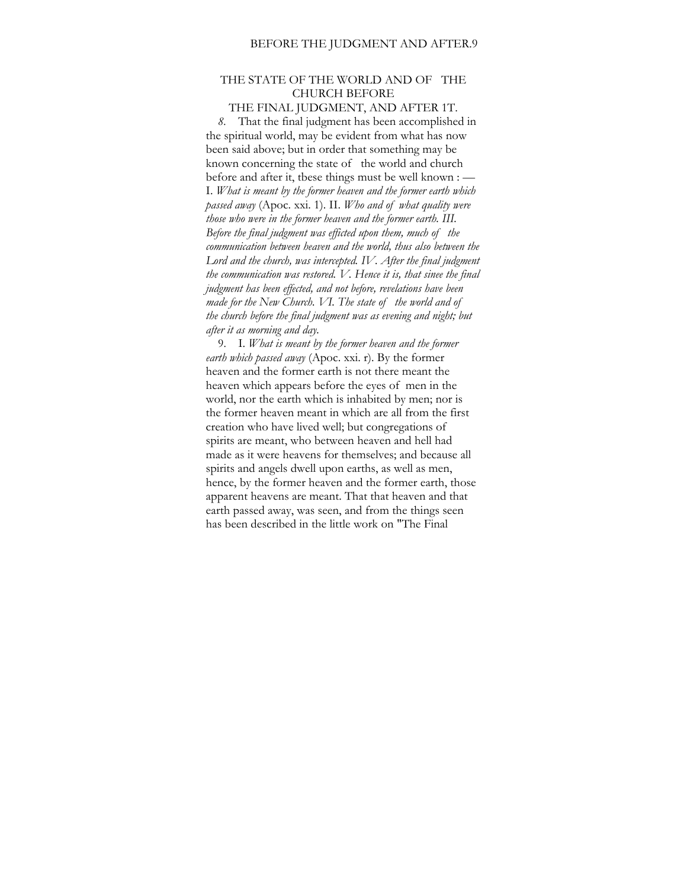## THE STATE OF THE WORLD AND OF THE CHURCH BEFORE

### THE FINAL JUDGMENT, AND AFTER 1T.

*8.* That the final judgment has been accomplished in the spiritual world, may be evident from what has now been said above; but in order that something may be known concerning the state of the world and church before and after it, tbese things must be well known : — I. *What is meant by the former heaven and the former earth which passed away* (Apoc. xxi. 1). II. *Who and of what quality were those who were in the former heaven and the former earth. III. Before the final judgment was efficted upon them, much of the communication between heaven and the world, thus also between the*  Lord and the church, was intercepted. IV. After the final judgment *the communication was restored. V. Hence it is, that sinee the final judgment has been effected, and not before, revelations have been made for the New Church. VI. The state of the world and of the church before the final judgment was as evening and night; but after it as morning and day.* 

9. I. *What is meant by the former heaven and the former earth which passed away* (Apoc. xxi. r). By the former heaven and the former earth is not there meant the heaven which appears before the eyes of men in the world, nor the earth which is inhabited by men; nor is the former heaven meant in which are all from the first creation who have lived well; but congregations of spirits are meant, who between heaven and hell had made as it were heavens for themselves; and because all spirits and angels dwell upon earths, as well as men, hence, by the former heaven and the former earth, those apparent heavens are meant. That that heaven and that earth passed away, was seen, and from the things seen has been described in the little work on "The Final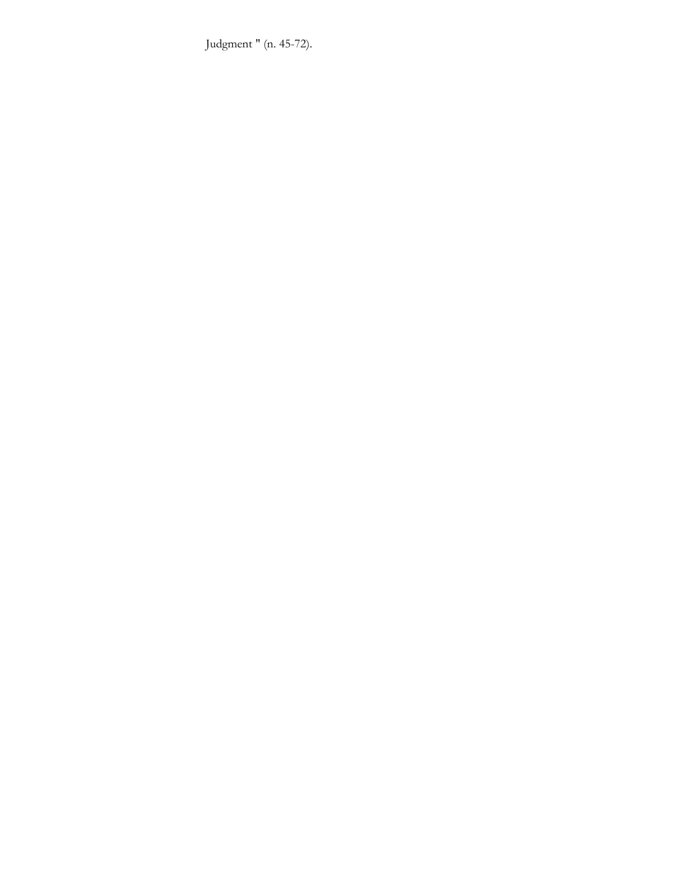Judgment " (n. 45-72).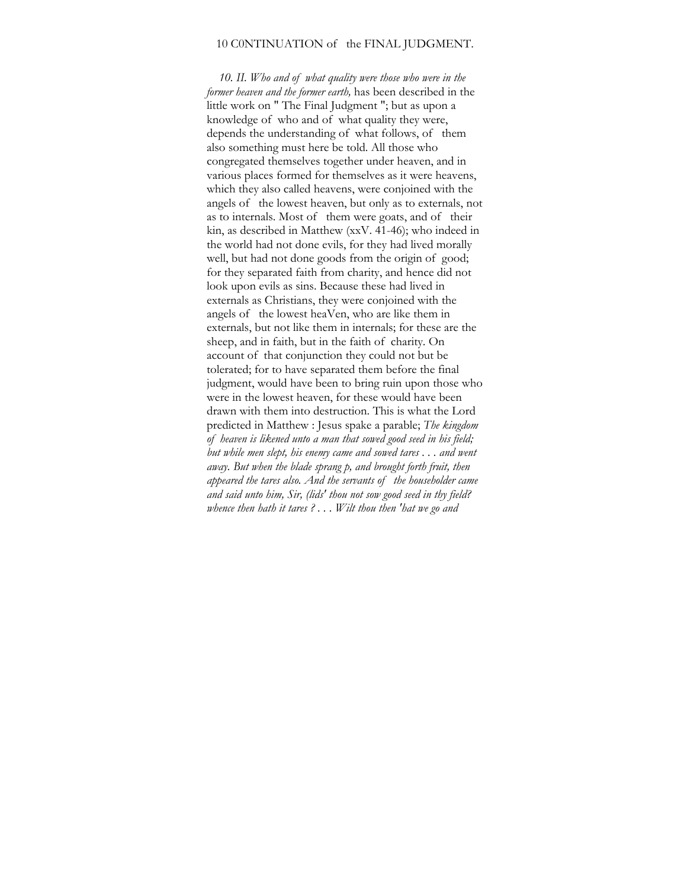## 10 C0NTINUATION of the FINAL JUDGMENT.

*10. II. Who and of what quality were those who were in the former heaven and the former earth,* has been described in the little work on " The Final Judgment "; but as upon a knowledge of who and of what quality they were, depends the understanding of what follows, of them also something must here be told. All those who congregated themselves together under heaven, and in various places formed for themselves as it were heavens, which they also called heavens, were conjoined with the angels of the lowest heaven, but only as to externals, not as to internals. Most of them were goats, and of their kin, as described in Matthew (xxV. 41-46); who indeed in the world had not done evils, for they had lived morally well, but had not done goods from the origin of good; for they separated faith from charity, and hence did not look upon evils as sins. Because these had lived in externals as Christians, they were conjoined with the angels of the lowest heaVen, who are like them in externals, but not like them in internals; for these are the sheep, and in faith, but in the faith of charity. On account of that conjunction they could not but be tolerated; for to have separated them before the final judgment, would have been to bring ruin upon those who were in the lowest heaven, for these would have been drawn with them into destruction. This is what the Lord predicted in Matthew : Jesus spake a parable; *The kingdom of heaven is likened unto a man that sowed good seed in his field; but while men slept, his enemy came and sowed tares . . . and went away. But when the blade sprang p, and brought forth fruit, then appeared the tares also. And the servants of the householder came and said unto him, Sir, (lids' thou not sow good seed in thy field? whence then hath it tares ? . . . Wilt thou then 'hat we go and*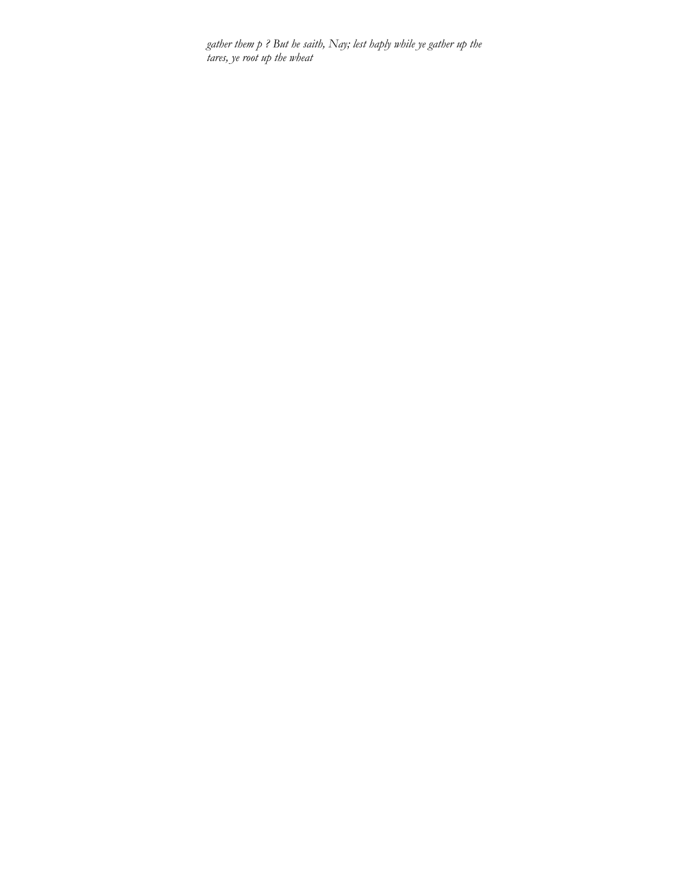*gather them p ? But he saith, Nay; lest haply while ye gather up the tares, ye root up the wheat*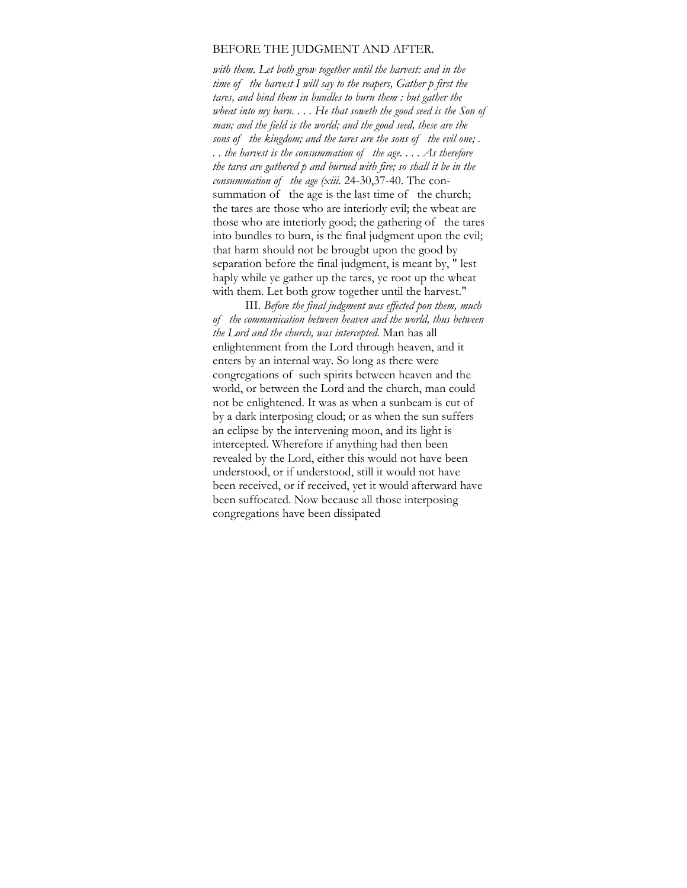## BEFORE THE JUDGMENT AND AFTER.

*with them. Let both grow together until the harvest: and in the time of the harvest I will say to the reapers, Gather p first the tares, and bind them in bundles to burn them : but gather the wheat into my barn. . . . He that soweth the good seed is the Son of man; and the field is the world; and the good seed, these are the sons of the kingdom; and the tares are the sons of the evil one; . . . the harvest is the consummation of the age. . . . As therefore the tares are gathered p and burned with fire; so shall it be in the consummation of the age (xiii.* 24-30,37-40. The consummation of the age is the last time of the church; the tares are those who are interiorly evil; the wbeat are those who are interiorly good; the gathering of the tares into bundles to burn, is the final judgment upon the evil; that harm should not be brougbt upon the good by separation before the final judgment, is meant by, " lest haply while ye gather up the tares, ye root up the wheat with them. Let both grow together until the harvest."

III. *Before the final judgment was effected pon them, much of the communication between heaven and the world, thus between the Lord and the church, was intercepted.* Man has all enlightenment from the Lord through heaven, and it enters by an internal way. So long as there were congregations of such spirits between heaven and the world, or between the Lord and the church, man could not be enlightened. It was as when a sunbeam is cut of by a dark interposing cloud; or as when the sun suffers an eclipse by the intervening moon, and its light is intercepted. Wherefore if anything had then been revealed by the Lord, either this would not have been understood, or if understood, still it would not have been received, or if received, yet it would afterward have been suffocated. Now because all those interposing congregations have been dissipated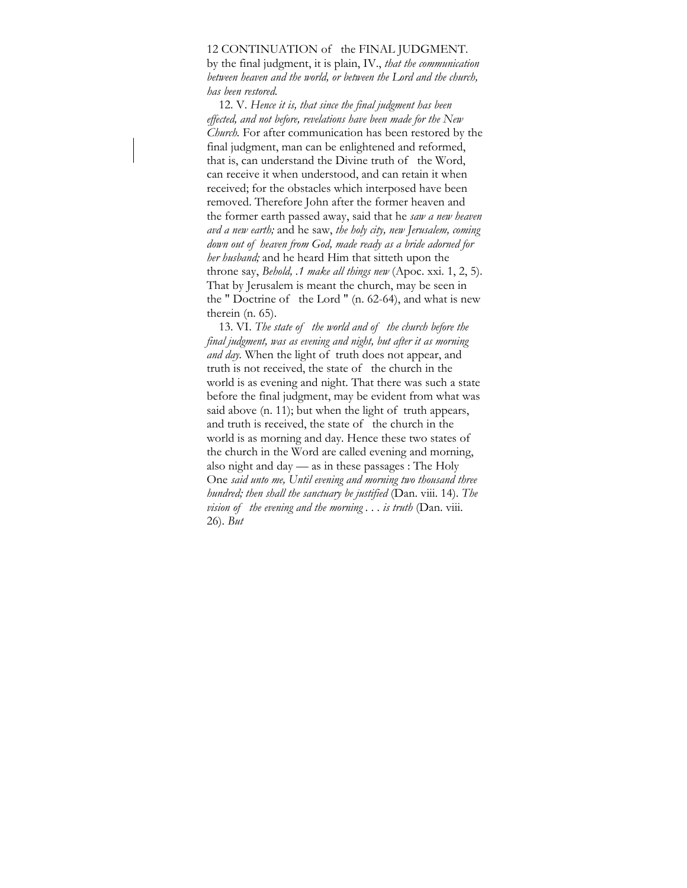#### 12 CONTINUATION of the FINAL JUDGMENT.

by the final judgment, it is plain, IV., *that the communication between heaven and the world, or between the Lord and the church, has been restored.* 

12. V. *Hence it is, that since the final judgment has been effected, and not before, revelations have been made for the New Church.* For after communication has been restored by the final judgment, man can be enlightened and reformed, that is, can understand the Divine truth of the Word, can receive it when understood, and can retain it when received; for the obstacles which interposed have been removed. Therefore John after the former heaven and the former earth passed away, said that he *saw a new heaven avd a new earth;* and he saw, *the holy city, new Jerusalem, coming down out of heaven from God, made ready as a bride adorned for her husband;* and he heard Him that sitteth upon the throne say, *Behold, .1 make all things new* (Apoc. xxi. 1, 2, 5). That by Jerusalem is meant the church, may be seen in the " Doctrine of the Lord " (n. 62-64), and what is new therein (n. 65).

13. VI. *The state of the world and of the church before the final judgment, was as evening and night, but after it as morning and day.* When the light of truth does not appear, and truth is not received, the state of the church in the world is as evening and night. That there was such a state before the final judgment, may be evident from what was said above (n. 11); but when the light of truth appears, and truth is received, the state of the church in the world is as morning and day. Hence these two states of the church in the Word are called evening and morning, also night and day — as in these passages : The Holy One *said unto me, Until evening and morning two thousand three hundred; then shall the sanctuary be justified* (Dan. viii. 14). *The vision of the evening and the morning ... is truth* (Dan. viii. 26). *But*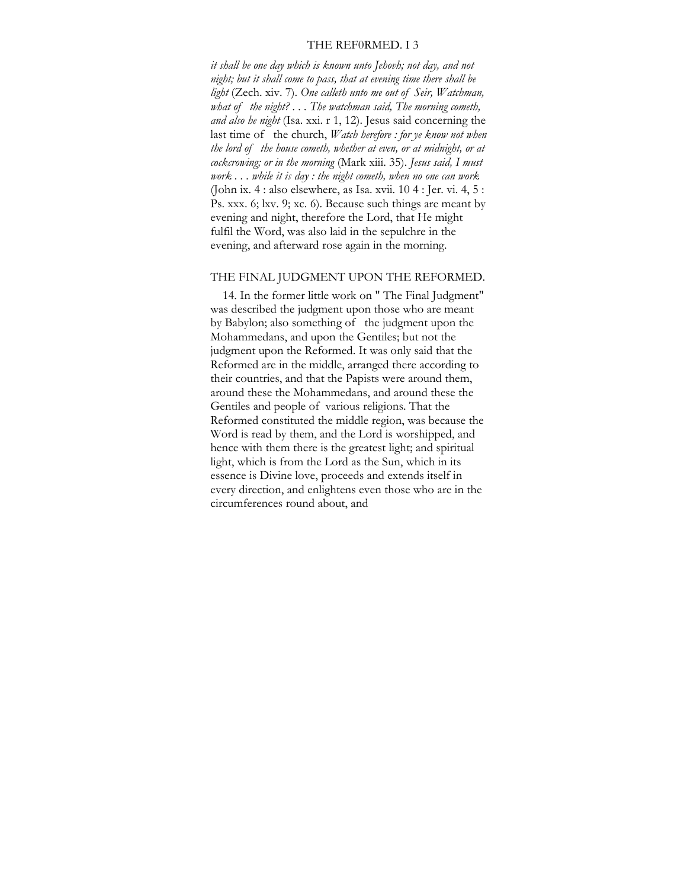#### THE REF0RMED. I 3

*it shall be one day which is known unto Jehovh; not day, and not night; but it shall come to pass, that at evening time there shall be light* (Zech. xiv. 7). *One calleth unto me out of Seir, Watchman, what of the night? . . . The watchman said, The morning cometh, and also he night* (Isa. xxi. r 1, 12). Jesus said concerning the last time of the church, *Watch herefore : for ye know not when the lord of the house cometh, whether at even, or at midnight, or at cockcrowing; or in the morning* (Mark xiii. 35). *Jesus said, I must work . . . while it is day : the night cometh, when no one can work*  (John ix. 4 : also elsewhere, as Isa. xvii. 10 4 : Jer. vi. 4, 5 : Ps. xxx. 6; lxv. 9; xc. 6). Because such things are meant by evening and night, therefore the Lord, that He might fulfil the Word, was also laid in the sepulchre in the evening, and afterward rose again in the morning.

## THE FINAL JUDGMENT UPON THE REFORMED.

14. In the former little work on " The Final Judgment" was described the judgment upon those who are meant by Babylon; also something of the judgment upon the Mohammedans, and upon the Gentiles; but not the judgment upon the Reformed. It was only said that the Reformed are in the middle, arranged there according to their countries, and that the Papists were around them, around these the Mohammedans, and around these the Gentiles and people of various religions. That the Reformed constituted the middle region, was because the Word is read by them, and the Lord is worshipped, and hence with them there is the greatest light; and spiritual light, which is from the Lord as the Sun, which in its essence is Divine love, proceeds and extends itself in every direction, and enlightens even those who are in the circumferences round about, and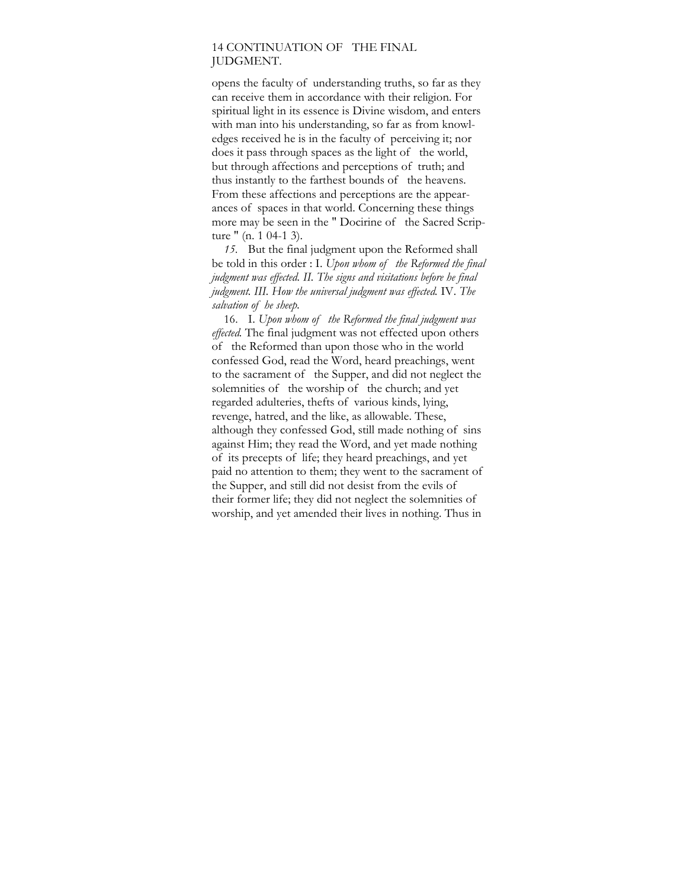## 14 CONTINUATION OF THE FINAL JUDGMENT.

opens the faculty of understanding truths, so far as they can receive them in accordance with their religion. For spiritual light in its essence is Divine wisdom, and enters with man into his understanding, so far as from knowledges received he is in the faculty of perceiving it; nor does it pass through spaces as the light of the world, but through affections and perceptions of truth; and thus instantly to the farthest bounds of the heavens. From these affections and perceptions are the appearances of spaces in that world. Concerning these things more may be seen in the " Docirine of the Sacred Scripture " (n. 1 04-1 3).

*15.* But the final judgment upon the Reformed shall be told in this order : I. *Upon whom of the Reformed the final judgment was effected. II. The signs and visitations before he final judgment. III. How the universal judgment was effected.* IV. *The salvation of he sheep.* 

16. I. *Upon whom of the Reformed the final judgment was effected.* The final judgment was not effected upon others of the Reformed than upon those who in the world confessed God, read the Word, heard preachings, went to the sacrament of the Supper, and did not neglect the solemnities of the worship of the church; and yet regarded adulteries, thefts of various kinds, lying, revenge, hatred, and the like, as allowable. These, although they confessed God, still made nothing of sins against Him; they read the Word, and yet made nothing of its precepts of life; they heard preachings, and yet paid no attention to them; they went to the sacrament of the Supper, and still did not desist from the evils of their former life; they did not neglect the solemnities of worship, and yet amended their lives in nothing. Thus in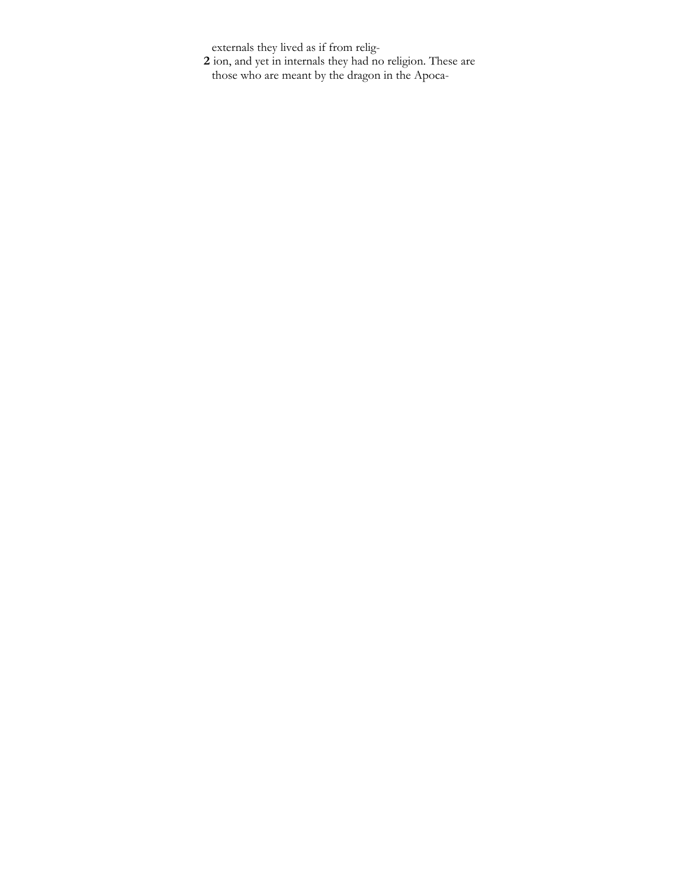externals they lived as if from relig-

**2** ion, and yet in internals they had no religion. These are those who are meant by the dragon in the Apoca-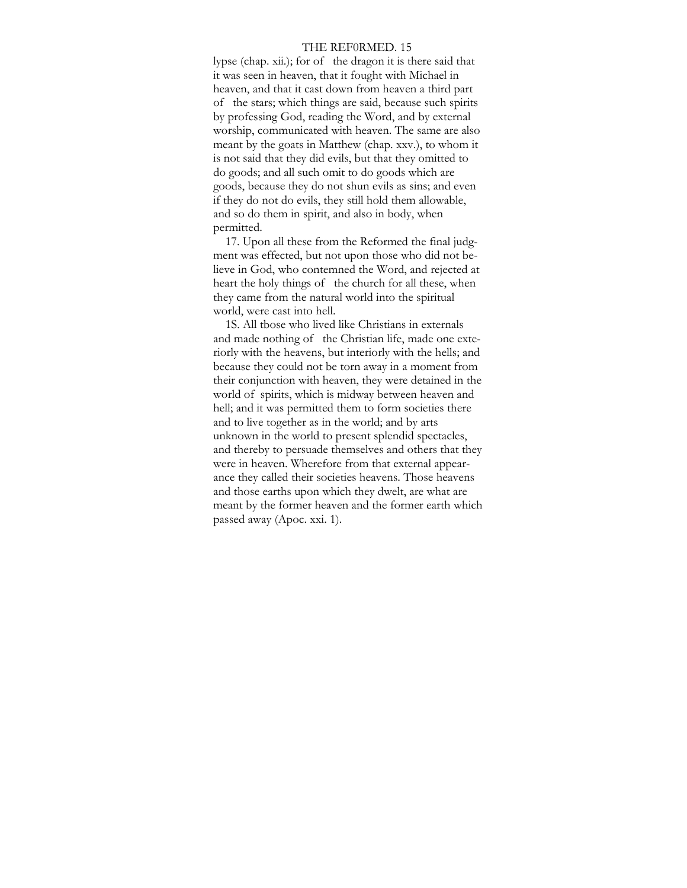#### THE REF0RMED. 15

lypse (chap. xii.); for of the dragon it is there said that it was seen in heaven, that it fought with Michael in heaven, and that it cast down from heaven a third part of the stars; which things are said, because such spirits by professing God, reading the Word, and by external worship, communicated with heaven. The same are also meant by the goats in Matthew (chap. xxv.), to whom it is not said that they did evils, but that they omitted to do goods; and all such omit to do goods which are goods, because they do not shun evils as sins; and even if they do not do evils, they still hold them allowable, and so do them in spirit, and also in body, when permitted.

17. Upon all these from the Reformed the final judgment was effected, but not upon those who did not believe in God, who contemned the Word, and rejected at heart the holy things of the church for all these, when they came from the natural world into the spiritual world, were cast into hell.

1S. All tbose who lived like Christians in externals and made nothing of the Christian life, made one exteriorly with the heavens, but interiorly with the hells; and because they could not be torn away in a moment from their conjunction with heaven, they were detained in the world of spirits, which is midway between heaven and hell; and it was permitted them to form societies there and to live together as in the world; and by arts unknown in the world to present splendid spectacles, and thereby to persuade themselves and others that they were in heaven. Wherefore from that external appearance they called their societies heavens. Those heavens and those earths upon which they dwelt, are what are meant by the former heaven and the former earth which passed away (Apoc. xxi. 1).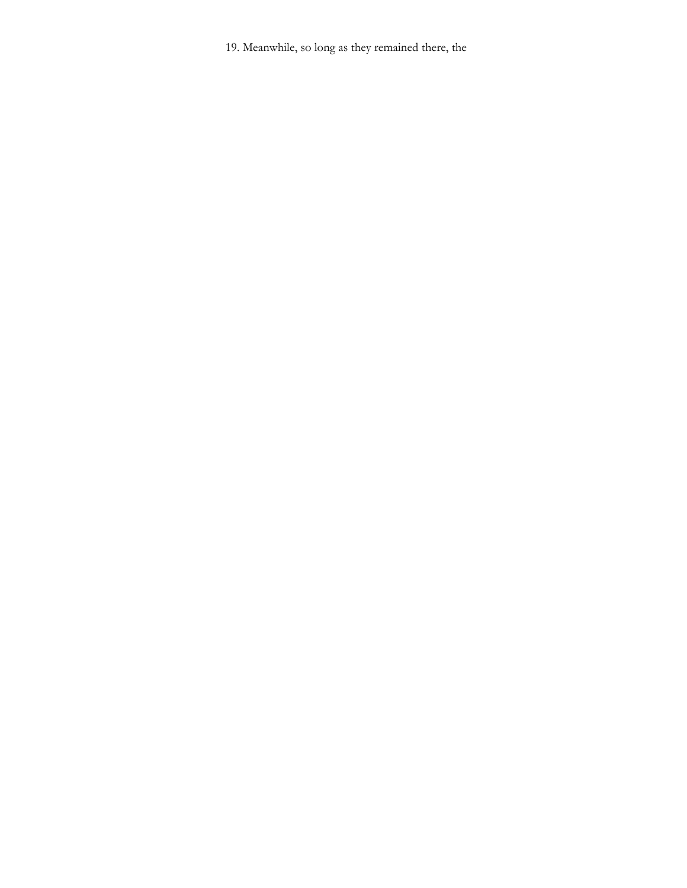19. Meanwhile, so long as they remained there, the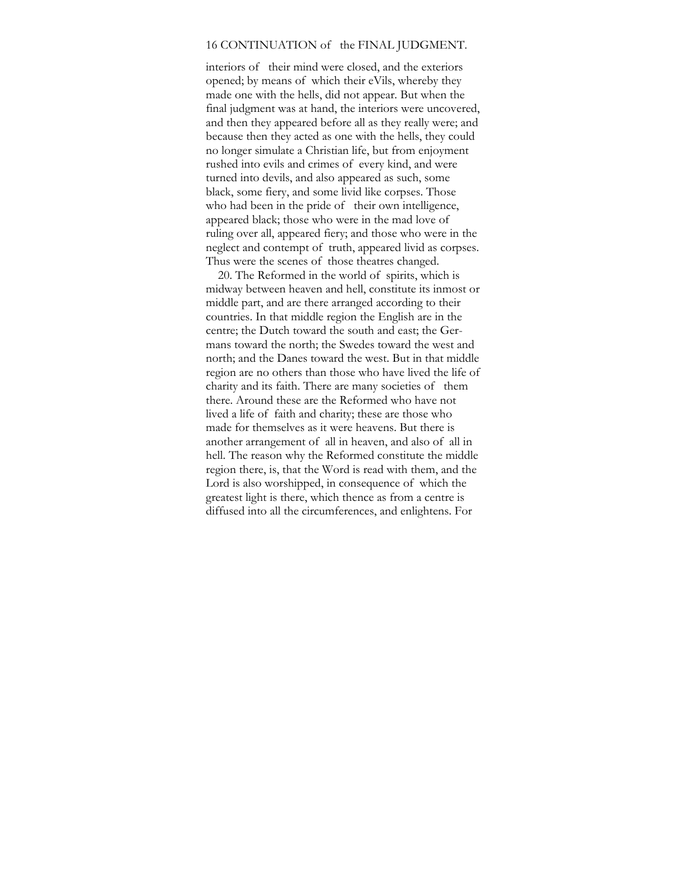## 16 CONTINUATION of the FINAL JUDGMENT.

interiors of their mind were closed, and the exteriors opened; by means of which their eVils, whereby they made one with the hells, did not appear. But when the final judgment was at hand, the interiors were uncovered, and then they appeared before all as they really were; and because then they acted as one with the hells, they could no longer simulate a Christian life, but from enjoyment rushed into evils and crimes of every kind, and were turned into devils, and also appeared as such, some black, some fiery, and some livid like corpses. Those who had been in the pride of their own intelligence, appeared black; those who were in the mad love of ruling over all, appeared fiery; and those who were in the neglect and contempt of truth, appeared livid as corpses. Thus were the scenes of those theatres changed.

20. The Reformed in the world of spirits, which is midway between heaven and hell, constitute its inmost or middle part, and are there arranged according to their countries. In that middle region the English are in the centre; the Dutch toward the south and east; the Germans toward the north; the Swedes toward the west and north; and the Danes toward the west. But in that middle region are no others than those who have lived the life of charity and its faith. There are many societies of them there. Around these are the Reformed who have not lived a life of faith and charity; these are those who made for themselves as it were heavens. But there is another arrangement of all in heaven, and also of all in hell. The reason why the Reformed constitute the middle region there, is, that the Word is read with them, and the Lord is also worshipped, in consequence of which the greatest light is there, which thence as from a centre is diffused into all the circumferences, and enlightens. For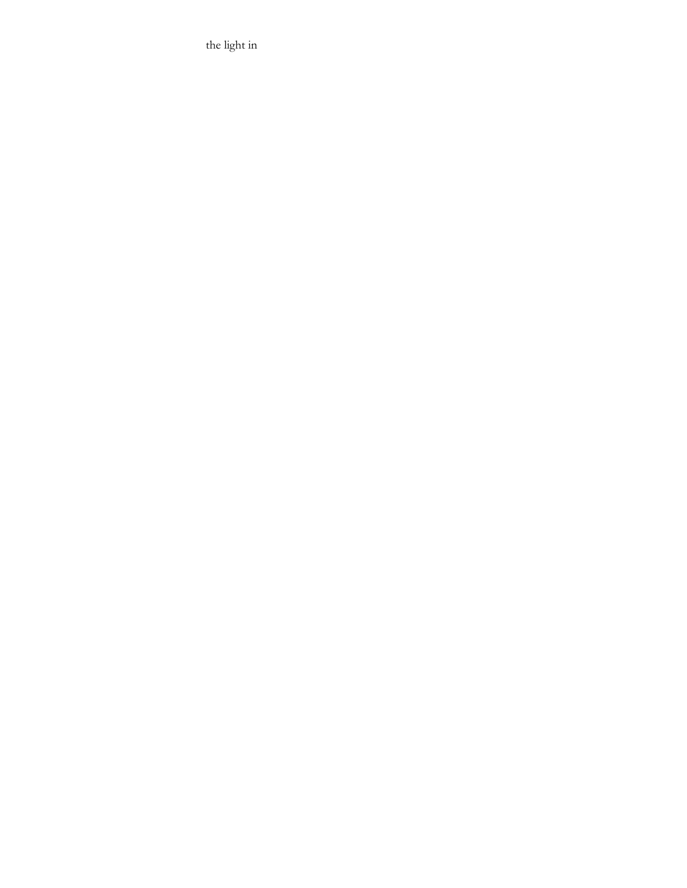the light in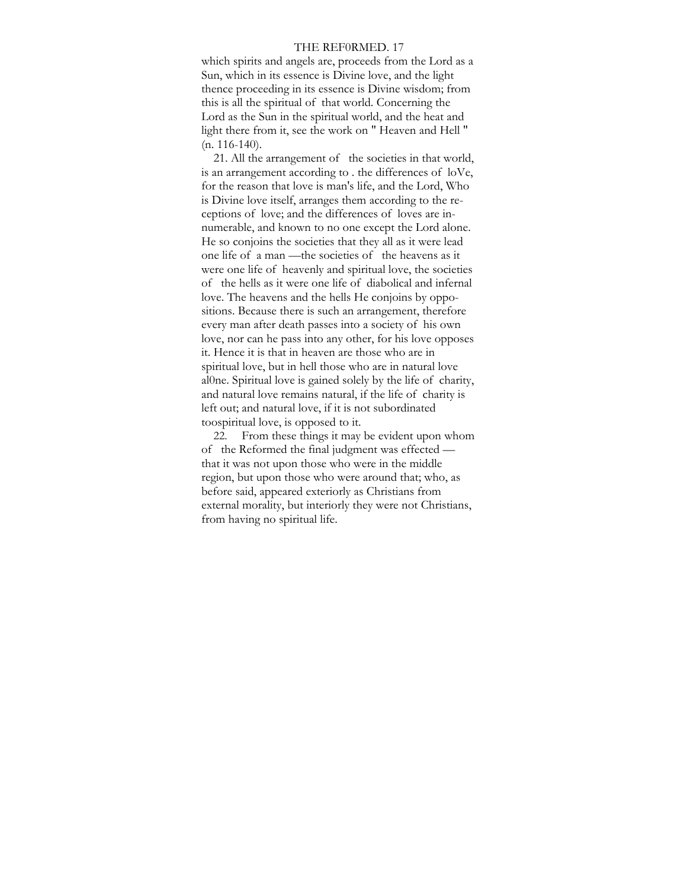#### THE REF0RMED. 17

which spirits and angels are, proceeds from the Lord as a Sun, which in its essence is Divine love, and the light thence proceeding in its essence is Divine wisdom; from this is all the spiritual of that world. Concerning the Lord as the Sun in the spiritual world, and the heat and light there from it, see the work on " Heaven and Hell "  $(n. 116-140)$ .

21. All the arrangement of the societies in that world, is an arrangement according to . the differences of loVe, for the reason that love is man's life, and the Lord, Who is Divine love itself, arranges them according to the receptions of love; and the differences of loves are innumerable, and known to no one except the Lord alone. He so conjoins the societies that they all as it were lead one life of a man —the societies of the heavens as it were one life of heavenly and spiritual love, the societies of the hells as it were one life of diabolical and infernal love. The heavens and the hells He conjoins by oppositions. Because there is such an arrangement, therefore every man after death passes into a society of his own love, nor can he pass into any other, for his love opposes it. Hence it is that in heaven are those who are in spiritual love, but in hell those who are in natural love al0ne. Spiritual love is gained solely by the life of charity, and natural love remains natural, if the life of charity is left out; and natural love, if it is not subordinated toospiritual love, is opposed to it.

22. From these things it may be evident upon whom of the Reformed the final judgment was effected that it was not upon those who were in the middle region, but upon those who were around that; who, as before said, appeared exteriorly as Christians from external morality, but interiorly they were not Christians, from having no spiritual life.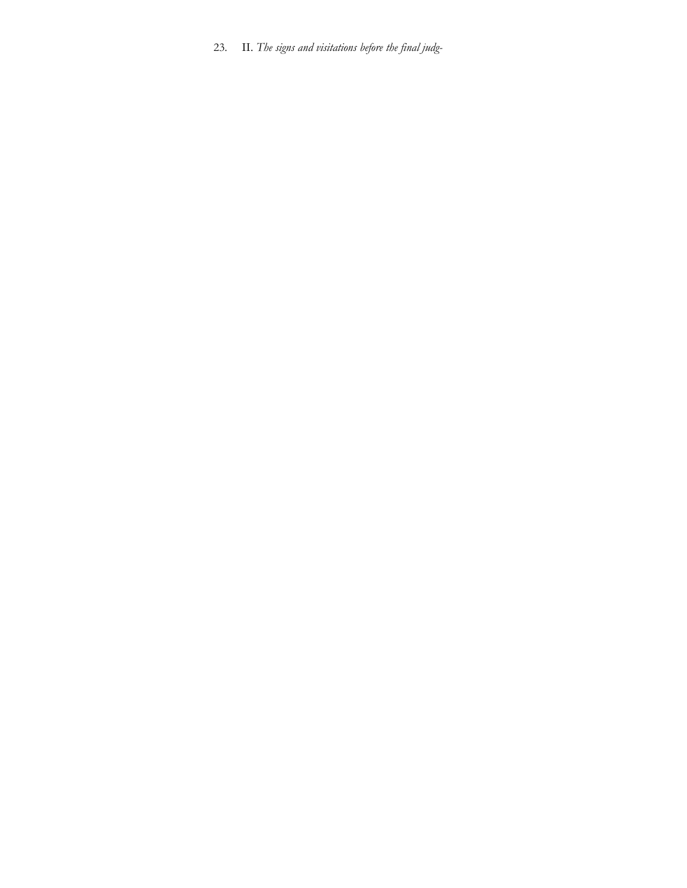23. II. *The signs and visitations before the final judg-*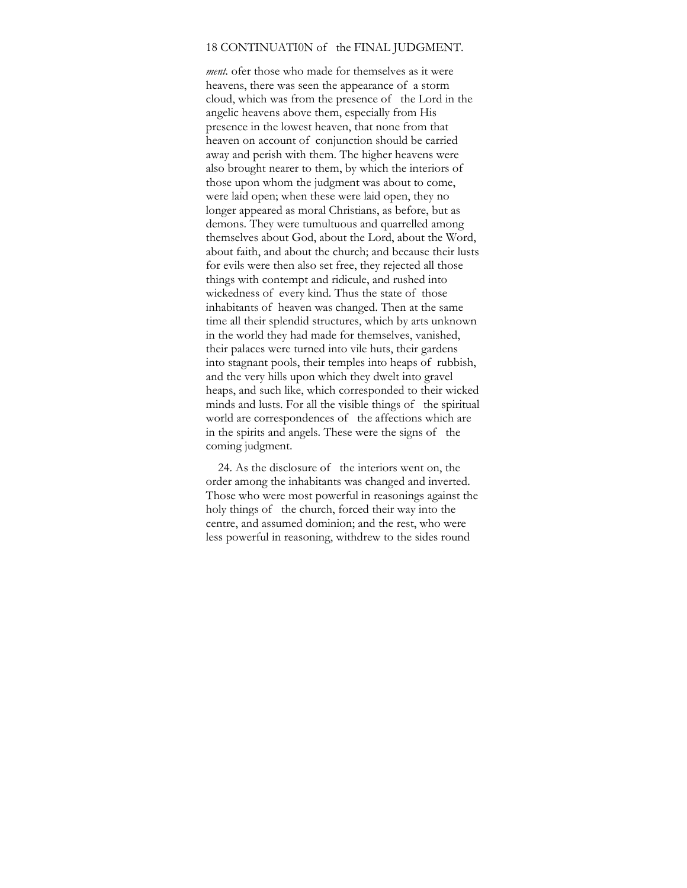#### 18 CONTINUATI0N of the FINAL JUDGMENT.

*ment.* ofer those who made for themselves as it were heavens, there was seen the appearance of a storm cloud, which was from the presence of the Lord in the angelic heavens above them, especially from His presence in the lowest heaven, that none from that heaven on account of conjunction should be carried away and perish with them. The higher heavens were also brought nearer to them, by which the interiors of those upon whom the judgment was about to come, were laid open; when these were laid open, they no longer appeared as moral Christians, as before, but as demons. They were tumultuous and quarrelled among themselves about God, about the Lord, about the Word, about faith, and about the church; and because their lusts for evils were then also set free, they rejected all those things with contempt and ridicule, and rushed into wickedness of every kind. Thus the state of those inhabitants of heaven was changed. Then at the same time all their splendid structures, which by arts unknown in the world they had made for themselves, vanished, their palaces were turned into vile huts, their gardens into stagnant pools, their temples into heaps of rubbish, and the very hills upon which they dwelt into gravel heaps, and such like, which corresponded to their wicked minds and lusts. For all the visible things of the spiritual world are correspondences of the affections which are in the spirits and angels. These were the signs of the coming judgment.

24. As the disclosure of the interiors went on, the order among the inhabitants was changed and inverted. Those who were most powerful in reasonings against the holy things of the church, forced their way into the centre, and assumed dominion; and the rest, who were less powerful in reasoning, withdrew to the sides round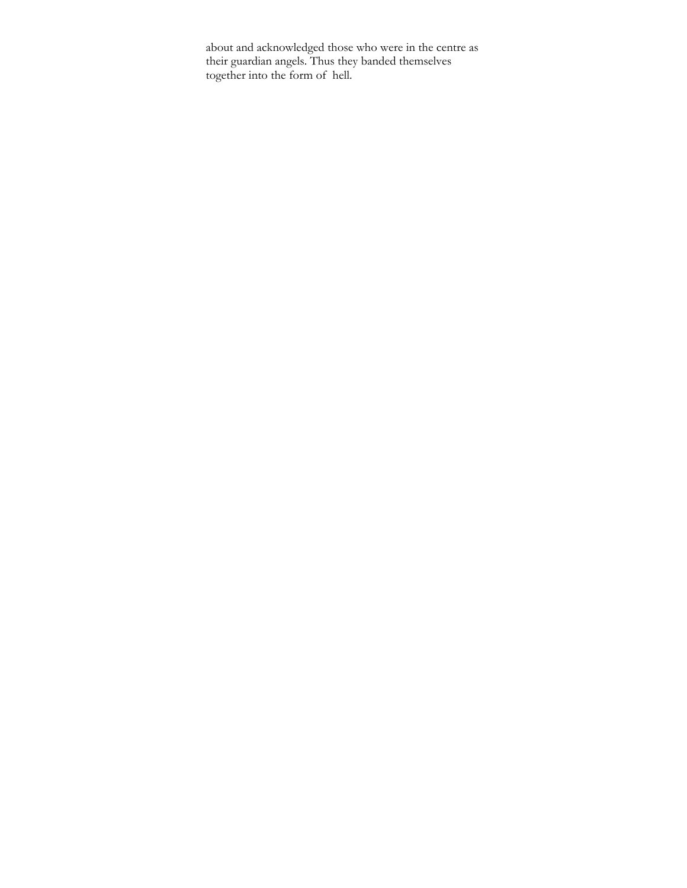about and acknowledged those who were in the centre as their guardian angels. Thus they banded themselves together into the form of hell.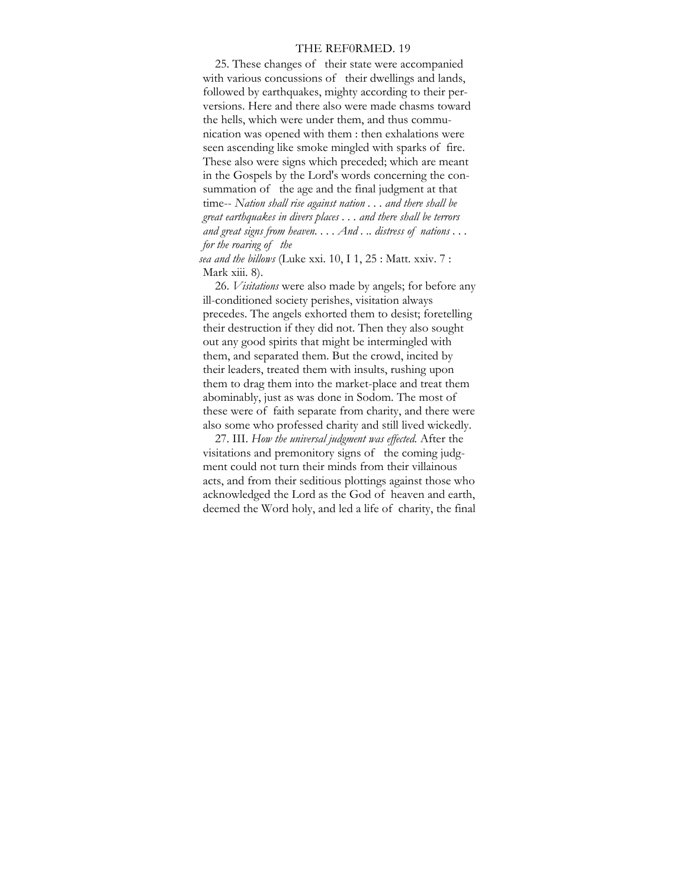#### THE REF0RMED. 19

25. These changes of their state were accompanied with various concussions of their dwellings and lands, followed by earthquakes, mighty according to their perversions. Here and there also were made chasms toward the hells, which were under them, and thus communication was opened with them : then exhalations were seen ascending like smoke mingled with sparks of fire. These also were signs which preceded; which are meant in the Gospels by the Lord's words concerning the consummation of the age and the final judgment at that time-- *Nation shall rise against nation . . . and there shall be great earthquakes in divers places . . . and there shall be terrors and great signs from heaven. . . . And . .. distress of nations . . . for the roaring of the* 

*sea and the billows* (Luke xxi. 10, I 1, 25 : Matt. xxiv. 7 : Mark xiii. 8).

26. *Visitations* were also made by angels; for before any ill-conditioned society perishes, visitation always precedes. The angels exhorted them to desist; foretelling their destruction if they did not. Then they also sought out any good spirits that might be intermingled with them, and separated them. But the crowd, incited by their leaders, treated them with insults, rushing upon them to drag them into the market-place and treat them abominably, just as was done in Sodom. The most of these were of faith separate from charity, and there were also some who professed charity and still lived wickedly.

27. III. *How the universal judgment was effected.* After the visitations and premonitory signs of the coming judgment could not turn their minds from their villainous acts, and from their seditious plottings against those who acknowledged the Lord as the God of heaven and earth, deemed the Word holy, and led a life of charity, the final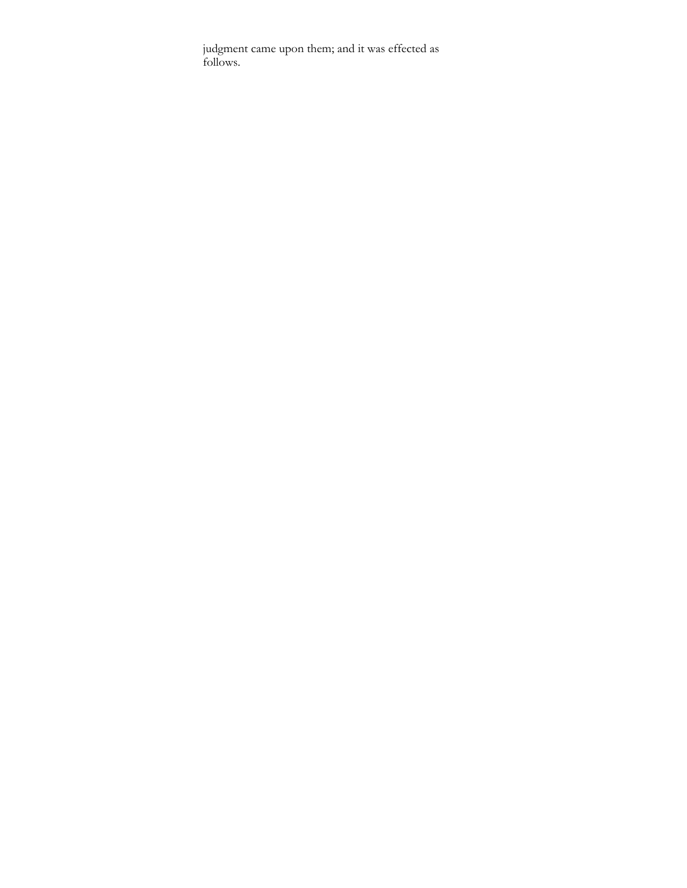judgment came upon them; and it was effected as follows.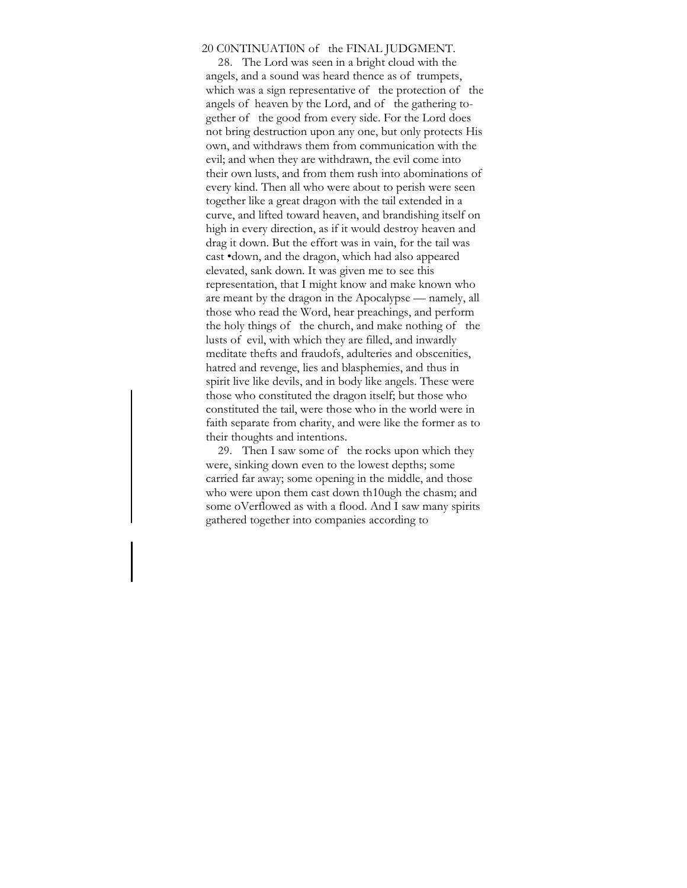## 20 C0NTINUATI0N of the FINAL JUDGMENT.

28. The Lord was seen in a bright cloud with the angels, and a sound was heard thence as of trumpets, which was a sign representative of the protection of the angels of heaven by the Lord, and of the gathering together of the good from every side. For the Lord does not bring destruction upon any one, but only protects His own, and withdraws them from communication with the evil; and when they are withdrawn, the evil come into their own lusts, and from them rush into abominations of every kind. Then all who were about to perish were seen together like a great dragon with the tail extended in a curve, and lifted toward heaven, and brandishing itself on high in every direction, as if it would destroy heaven and drag it down. But the effort was in vain, for the tail was cast •down, and the dragon, which had also appeared elevated, sank down. It was given me to see this representation, that I might know and make known who are meant by the dragon in the Apocalypse — namely, all those who read the Word, hear preachings, and perform the holy things of the church, and make nothing of the lusts of evil, with which they are filled, and inwardly meditate thefts and fraudofs, adulteries and obscenities, hatred and revenge, lies and blasphemies, and thus in spirit live like devils, and in body like angels. These were those who constituted the dragon itself; but those who constituted the tail, were those who in the world were in faith separate from charity, and were like the former as to their thoughts and intentions.

29. Then I saw some of the rocks upon which they were, sinking down even to the lowest depths; some carried far away; some opening in the middle, and those who were upon them cast down th10ugh the chasm; and some oVerflowed as with a flood. And I saw many spirits gathered together into companies according to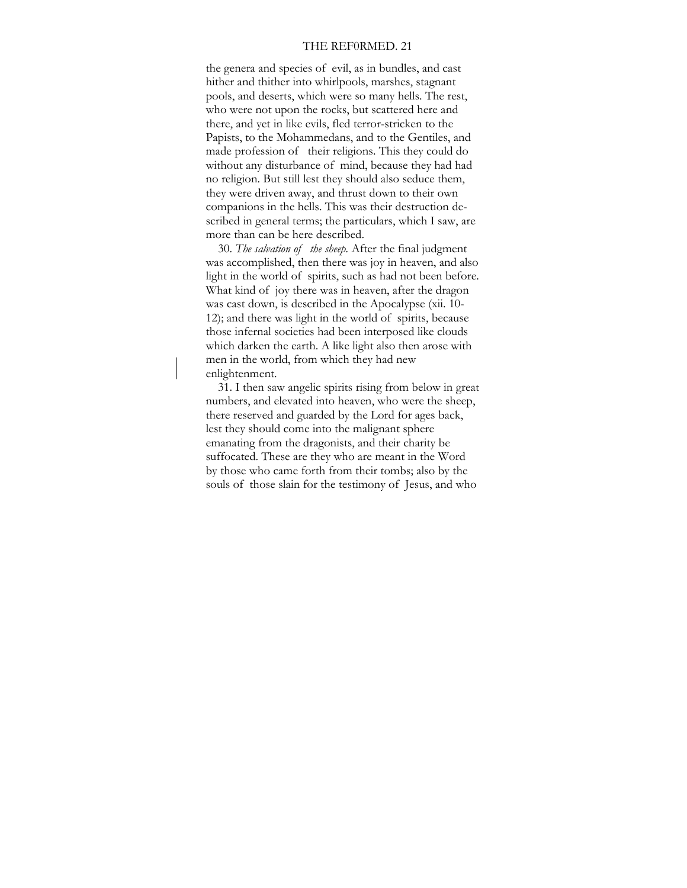## THE REF0RMED. 21

the genera and species of evil, as in bundles, and cast hither and thither into whirlpools, marshes, stagnant pools, and deserts, which were so many hells. The rest, who were not upon the rocks, but scattered here and there, and yet in like evils, fled terror-stricken to the Papists, to the Mohammedans, and to the Gentiles, and made profession of their religions. This they could do without any disturbance of mind, because they had had no religion. But still lest they should also seduce them, they were driven away, and thrust down to their own companions in the hells. This was their destruction described in general terms; the particulars, which I saw, are more than can be here described.

30. *The salvation of the sheep.* After the final judgment was accomplished, then there was joy in heaven, and also light in the world of spirits, such as had not been before. What kind of joy there was in heaven, after the dragon was cast down, is described in the Apocalypse (xii. 10- 12); and there was light in the world of spirits, because those infernal societies had been interposed like clouds which darken the earth. A like light also then arose with men in the world, from which they had new enlightenment.

31. I then saw angelic spirits rising from below in great numbers, and elevated into heaven, who were the sheep, there reserved and guarded by the Lord for ages back, lest they should come into the malignant sphere emanating from the dragonists, and their charity be suffocated. These are they who are meant in the Word by those who came forth from their tombs; also by the souls of those slain for the testimony of Jesus, and who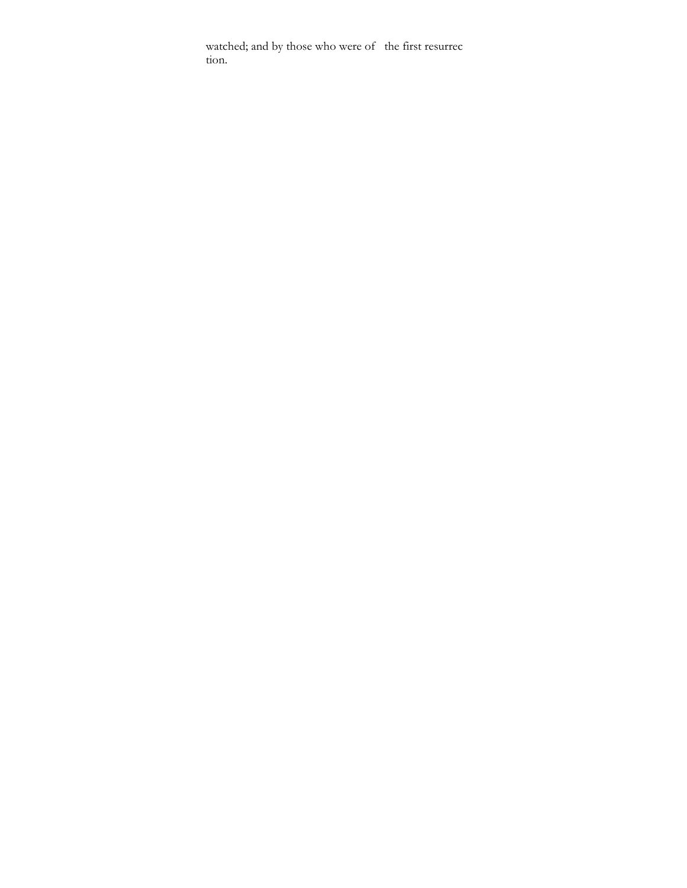watched; and by those who were of the first resurrec tion.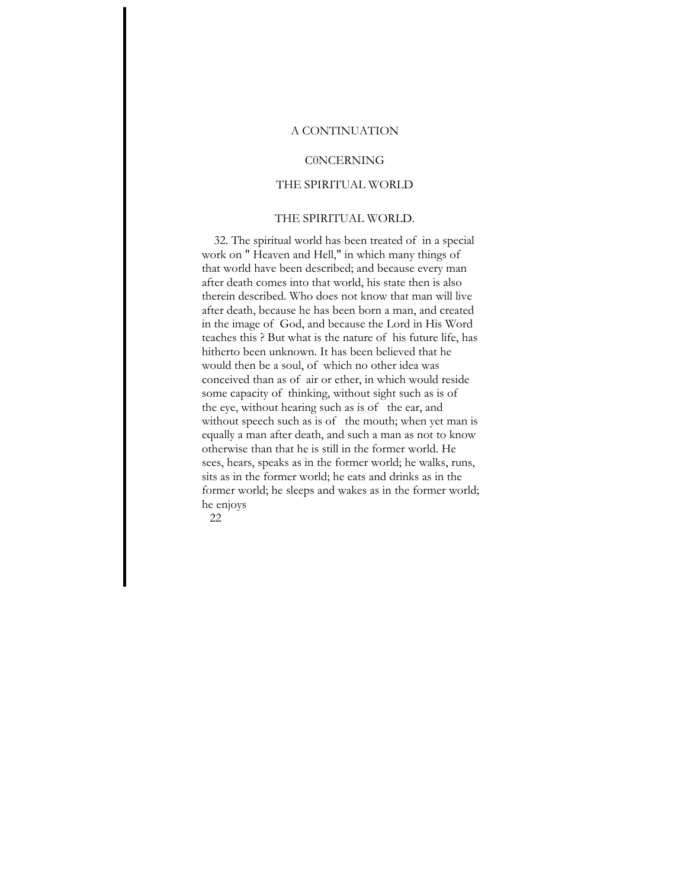## A CONTINUATION

## **CONCERNING**

## THE SPIRITUAL WORLD

### THE SPIRITUAL WORLD.

32. The spiritual world has been treated of in a special work on " Heaven and Hell," in which many things of that world have been described; and because every man after death comes into that world, his state then is also therein described. Who does not know that man will live after death, because he has been born a man, and created in the image of God, and because the Lord in His Word teaches this ? But what is the nature of his future life, has hitherto been unknown. It has been believed that he would then be a soul, of which no other idea was conceived than as of air or ether, in which would reside some capacity of thinking, without sight such as is of the eye, without hearing such as is of the ear, and without speech such as is of the mouth; when yet man is equally a man after death, and such a man as not to know otherwise than that he is still in the former world. He sees, hears, speaks as in the former world; he walks, runs, sits as in the former world; he eats and drinks as in the former world; he sleeps and wakes as in the former world; he enjoys

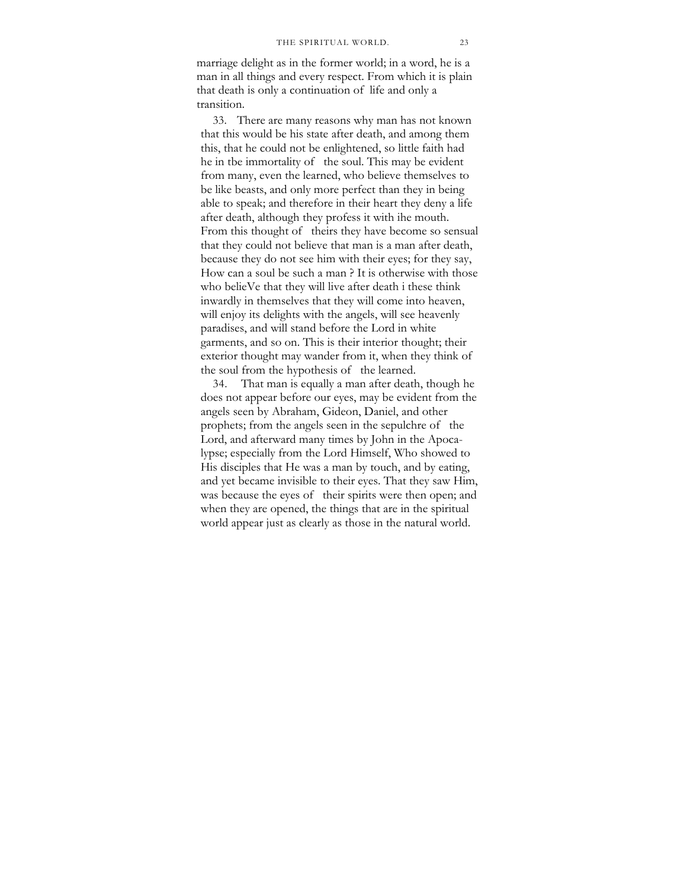marriage delight as in the former world; in a word, he is a man in all things and every respect. From which it is plain that death is only a continuation of life and only a transition.

33. There are many reasons why man has not known that this would be his state after death, and among them this, that he could not be enlightened, so little faith had he in tbe immortality of the soul. This may be evident from many, even the learned, who believe themselves to be like beasts, and only more perfect than they in being able to speak; and therefore in their heart they deny a life after death, although they profess it with ihe mouth. From this thought of theirs they have become so sensual that they could not believe that man is a man after death, because they do not see him with their eyes; for they say, How can a soul be such a man ? It is otherwise with those who belieVe that they will live after death i these think inwardly in themselves that they will come into heaven, will enjoy its delights with the angels, will see heavenly paradises, and will stand before the Lord in white garments, and so on. This is their interior thought; their exterior thought may wander from it, when they think of the soul from the hypothesis of the learned.

34. That man is equally a man after death, though he does not appear before our eyes, may be evident from the angels seen by Abraham, Gideon, Daniel, and other prophets; from the angels seen in the sepulchre of the Lord, and afterward many times by John in the Apocalypse; especially from the Lord Himself, Who showed to His disciples that He was a man by touch, and by eating, and yet became invisible to their eyes. That they saw Him, was because the eyes of their spirits were then open; and when they are opened, the things that are in the spiritual world appear just as clearly as those in the natural world.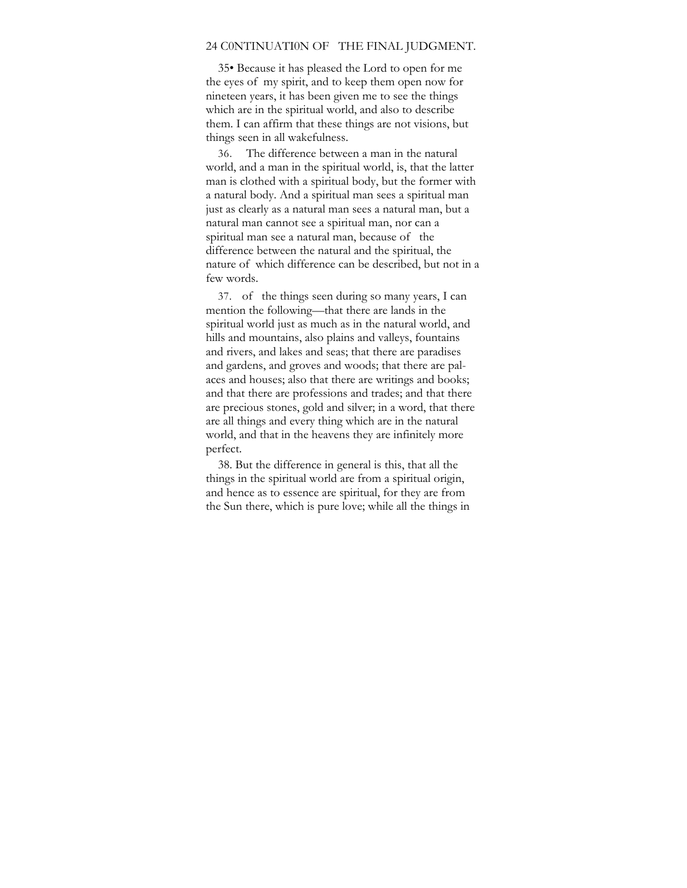#### 24 C0NTINUATI0N OF THE FINAL JUDGMENT.

35• Because it has pleased the Lord to open for me the eyes of my spirit, and to keep them open now for nineteen years, it has been given me to see the things which are in the spiritual world, and also to describe them. I can affirm that these things are not visions, but things seen in all wakefulness.

36. The difference between a man in the natural world, and a man in the spiritual world, is, that the latter man is clothed with a spiritual body, but the former with a natural body. And a spiritual man sees a spiritual man just as clearly as a natural man sees a natural man, but a natural man cannot see a spiritual man, nor can a spiritual man see a natural man, because of the difference between the natural and the spiritual, the nature of which difference can be described, but not in a few words.

37. of the things seen during so many years, I can mention the following—that there are lands in the spiritual world just as much as in the natural world, and hills and mountains, also plains and valleys, fountains and rivers, and lakes and seas; that there are paradises and gardens, and groves and woods; that there are palaces and houses; also that there are writings and books; and that there are professions and trades; and that there are precious stones, gold and silver; in a word, that there are all things and every thing which are in the natural world, and that in the heavens they are infinitely more perfect.

38. But the difference in general is this, that all the things in the spiritual world are from a spiritual origin, and hence as to essence are spiritual, for they are from the Sun there, which is pure love; while all the things in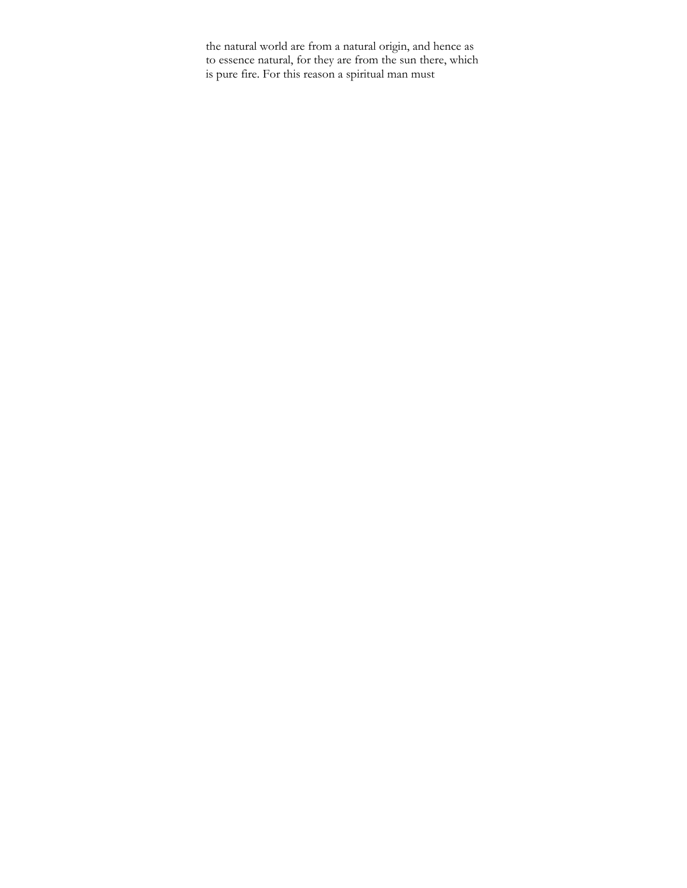the natural world are from a natural origin, and hence as to essence natural, for they are from the sun there, which is pure fire. For this reason a spiritual man must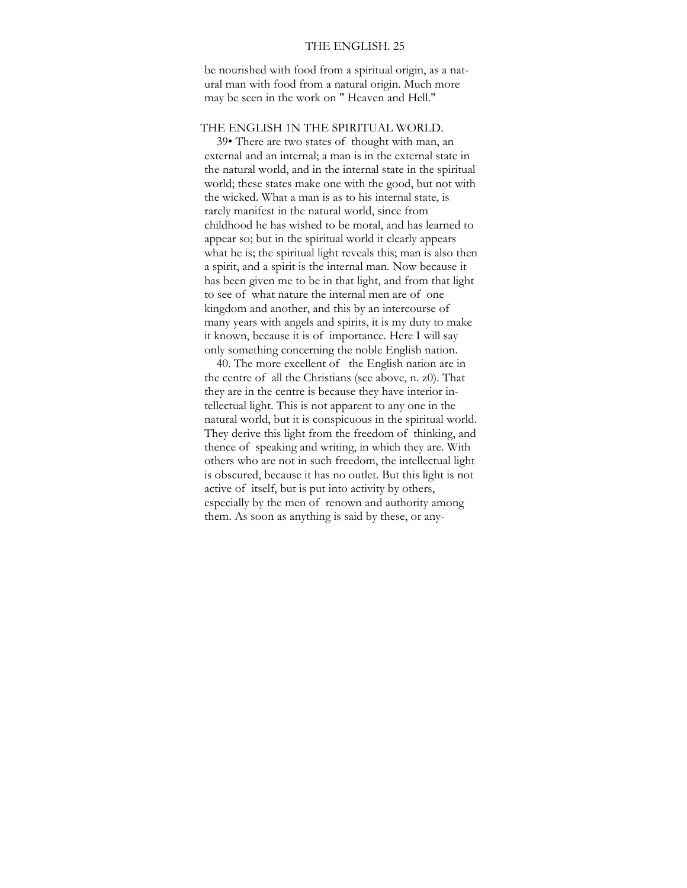## THE ENGLISH. 25

be nourished with food from a spiritual origin, as a natural man with food from a natural origin. Much more may be seen in the work on " Heaven and Hell."

## THE ENGLISH 1N THE SPIRITUAL WORLD.

39• There are two states of thought with man, an external and an internal; a man is in the external state in the natural world, and in the internal state in the spiritual world; these states make one with the good, but not with the wicked. What a man is as to his internal state, is rarely manifest in the natural world, since from childhood he has wished to be moral, and has learned to appear so; but in the spiritual world it clearly appears what he is; the spiritual light reveals this; man is also then a spirit, and a spirit is the internal man. Now because it has been given me to be in that light, and from that light to see of what nature the internal men are of one kingdom and another, and this by an intercourse of many years with angels and spirits, it is my duty to make it known, because it is of importance. Here I will say only something concerning the noble English nation.

40. The more excellent of the English nation are in the centre of all the Christians (see above, n. z0). That they are in the centre is because they have interior intellectual light. This is not apparent to any one in the natural world, but it is conspicuous in the spiritual world. They derive this light from the freedom of thinking, and thence of speaking and writing, in which they are. With others who are not in such freedom, the intellectual light is obscured, because it has no outlet. But this light is not active of itself, but is put into activity by others, especially by the men of renown and authority among them. As soon as anything is said by these, or any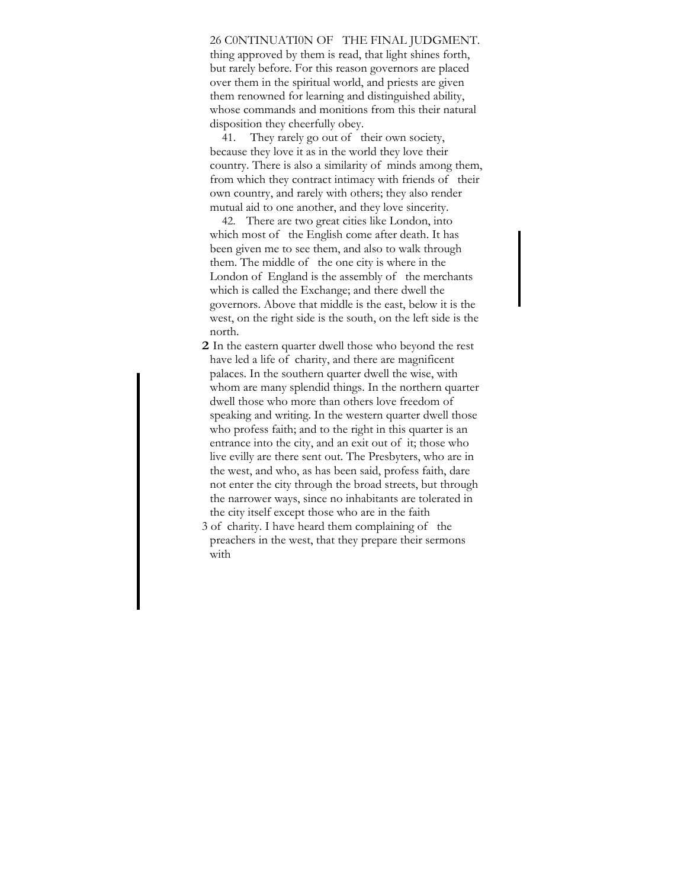26 C0NTINUATI0N OF THE FINAL JUDGMENT. thing approved by them is read, that light shines forth, but rarely before. For this reason governors are placed over them in the spiritual world, and priests are given them renowned for learning and distinguished ability, whose commands and monitions from this their natural disposition they cheerfully obey.

41. They rarely go out of their own society, because they love it as in the world they love their country. There is also a similarity of minds among them, from which they contract intimacy with friends of their own country, and rarely with others; they also render mutual aid to one another, and they love sincerity.

42. There are two great cities like London, into which most of the English come after death. It has been given me to see them, and also to walk through them. The middle of the one city is where in the London of England is the assembly of the merchants which is called the Exchange; and there dwell the governors. Above that middle is the east, below it is the west, on the right side is the south, on the left side is the north.

**2** In the eastern quarter dwell those who beyond the rest have led a life of charity, and there are magnificent palaces. In the southern quarter dwell the wise, with whom are many splendid things. In the northern quarter dwell those who more than others love freedom of speaking and writing. In the western quarter dwell those who profess faith; and to the right in this quarter is an entrance into the city, and an exit out of it; those who live evilly are there sent out. The Presbyters, who are in the west, and who, as has been said, profess faith, dare not enter the city through the broad streets, but through the narrower ways, since no inhabitants are tolerated in the city itself except those who are in the faith

3 of charity. I have heard them complaining of the preachers in the west, that they prepare their sermons with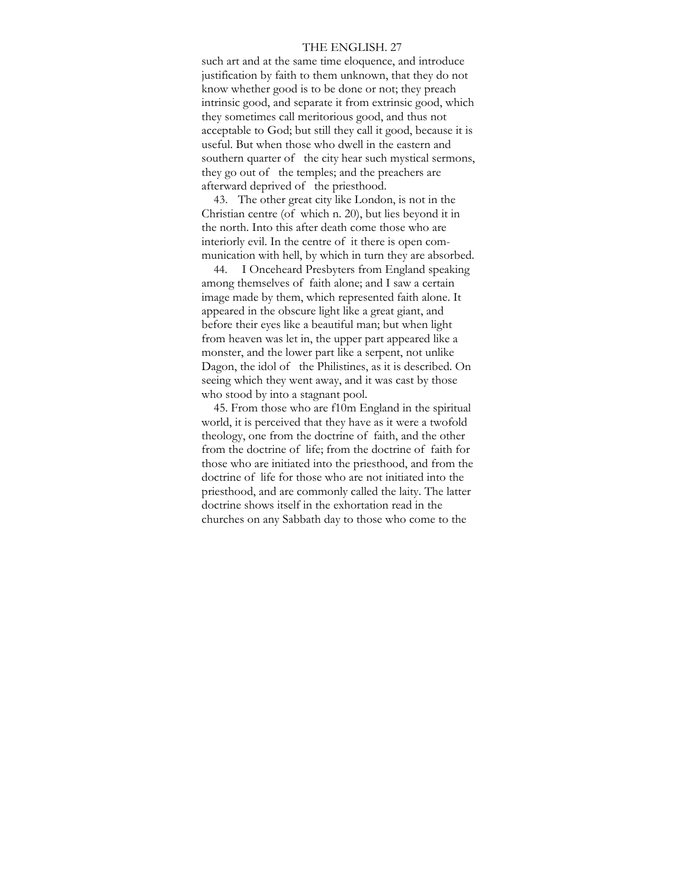#### THE ENGLISH. 27

such art and at the same time eloquence, and introduce justification by faith to them unknown, that they do not know whether good is to be done or not; they preach intrinsic good, and separate it from extrinsic good, which they sometimes call meritorious good, and thus not acceptable to God; but still they call it good, because it is useful. But when those who dwell in the eastern and southern quarter of the city hear such mystical sermons, they go out of the temples; and the preachers are afterward deprived of the priesthood.

43. The other great city like London, is not in the Christian centre (of which n. 20), but lies beyond it in the north. Into this after death come those who are interiorly evil. In the centre of it there is open communication with hell, by which in turn they are absorbed.

44. I Onceheard Presbyters from England speaking among themselves of faith alone; and I saw a certain image made by them, which represented faith alone. It appeared in the obscure light like a great giant, and before their eyes like a beautiful man; but when light from heaven was let in, the upper part appeared like a monster, and the lower part like a serpent, not unlike Dagon, the idol of the Philistines, as it is described. On seeing which they went away, and it was cast by those who stood by into a stagnant pool.

45. From those who are f10m England in the spiritual world, it is perceived that they have as it were a twofold theology, one from the doctrine of faith, and the other from the doctrine of life; from the doctrine of faith for those who are initiated into the priesthood, and from the doctrine of life for those who are not initiated into the priesthood, and are commonly called the laity. The latter doctrine shows itself in the exhortation read in the churches on any Sabbath day to those who come to the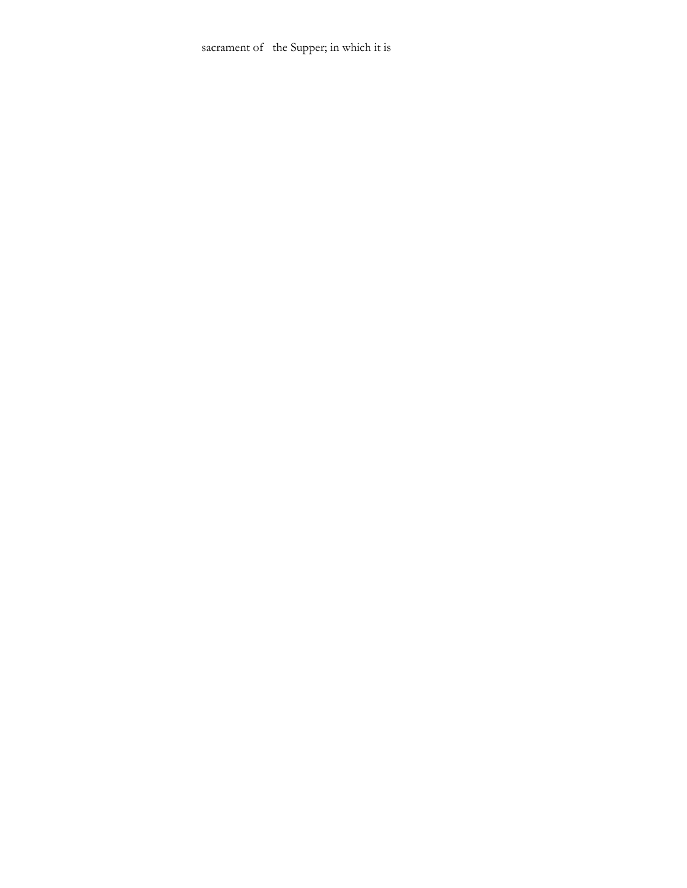sacrament of the Supper; in which it is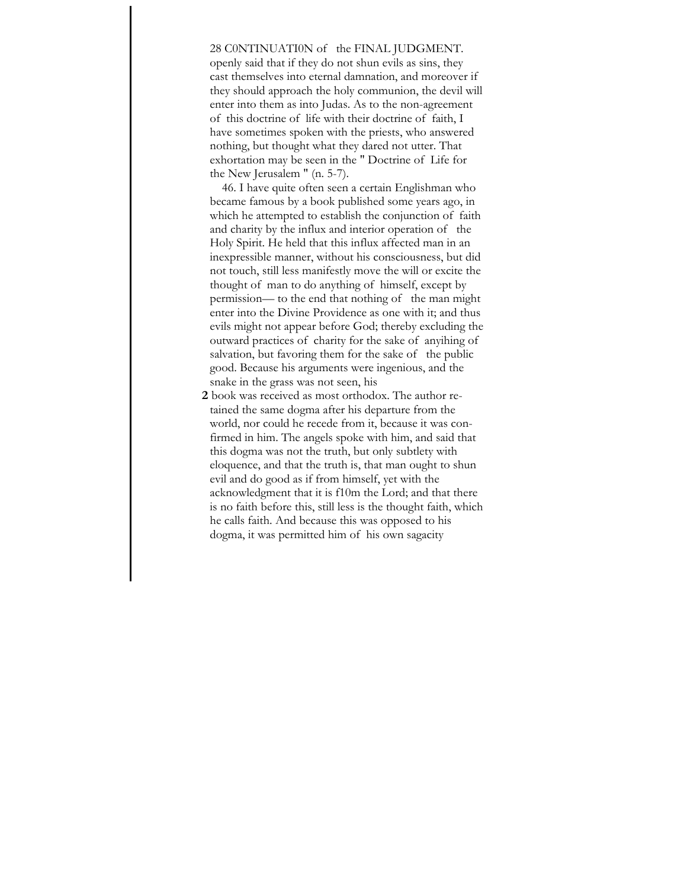# 28 C0NTINUATI0N of the FINAL JUDGMENT.

openly said that if they do not shun evils as sins, they cast themselves into eternal damnation, and moreover if they should approach the holy communion, the devil will enter into them as into Judas. As to the non-agreement of this doctrine of life with their doctrine of faith, I have sometimes spoken with the priests, who answered nothing, but thought what they dared not utter. That exhortation may be seen in the " Doctrine of Life for the New Jerusalem " (n. 5-7).

46. I have quite often seen a certain Englishman who became famous by a book published some years ago, in which he attempted to establish the conjunction of faith and charity by the influx and interior operation of the Holy Spirit. He held that this influx affected man in an inexpressible manner, without his consciousness, but did not touch, still less manifestly move the will or excite the thought of man to do anything of himself, except by permission— to the end that nothing of the man might enter into the Divine Providence as one with it; and thus evils might not appear before God; thereby excluding the outward practices of charity for the sake of anyihing of salvation, but favoring them for the sake of the public good. Because his arguments were ingenious, and the snake in the grass was not seen, his

**2** book was received as most orthodox. The author retained the same dogma after his departure from the world, nor could he recede from it, because it was confirmed in him. The angels spoke with him, and said that this dogma was not the truth, but only subtlety with eloquence, and that the truth is, that man ought to shun evil and do good as if from himself, yet with the acknowledgment that it is f10m the Lord; and that there is no faith before this, still less is the thought faith, which he calls faith. And because this was opposed to his dogma, it was permitted him of his own sagacity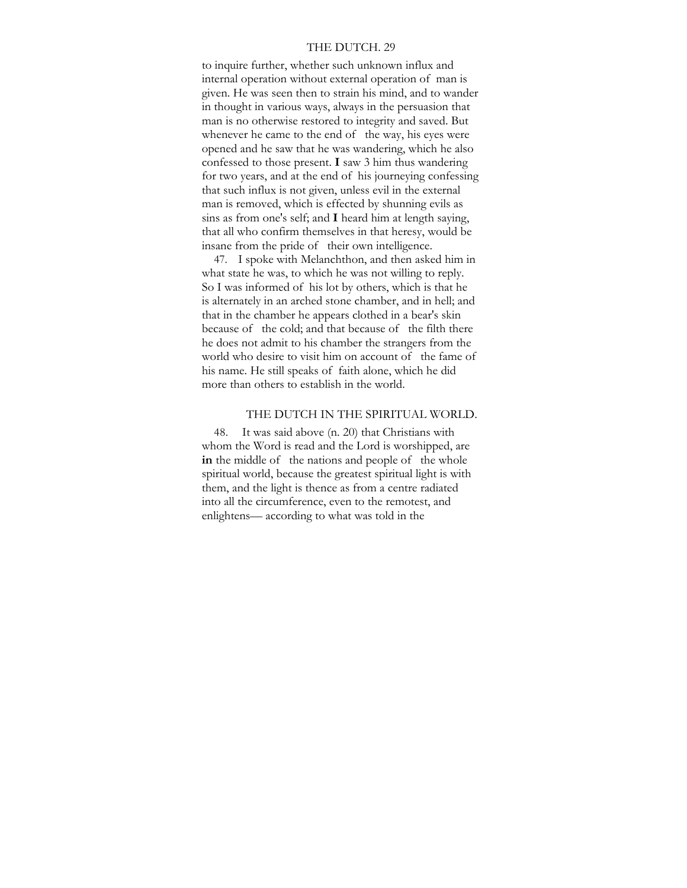#### THE DUTCH. 29

to inquire further, whether such unknown influx and internal operation without external operation of man is given. He was seen then to strain his mind, and to wander in thought in various ways, always in the persuasion that man is no otherwise restored to integrity and saved. But whenever he came to the end of the way, his eyes were opened and he saw that he was wandering, which he also confessed to those present. **I** saw 3 him thus wandering for two years, and at the end of his journeying confessing that such influx is not given, unless evil in the external man is removed, which is effected by shunning evils as sins as from one's self; and **I** heard him at length saying, that all who confirm themselves in that heresy, would be insane from the pride of their own intelligence.

47. I spoke with Melanchthon, and then asked him in what state he was, to which he was not willing to reply. So I was informed of his lot by others, which is that he is alternately in an arched stone chamber, and in hell; and that in the chamber he appears clothed in a bear's skin because of the cold; and that because of the filth there he does not admit to his chamber the strangers from the world who desire to visit him on account of the fame of his name. He still speaks of faith alone, which he did more than others to establish in the world.

# THE DUTCH IN THE SPIRITUAL WORLD.

48. It was said above (n. 20) that Christians with whom the Word is read and the Lord is worshipped, are **in** the middle of the nations and people of the whole spiritual world, because the greatest spiritual light is with them, and the light is thence as from a centre radiated into all the circumference, even to the remotest, and enlightens— according to what was told in the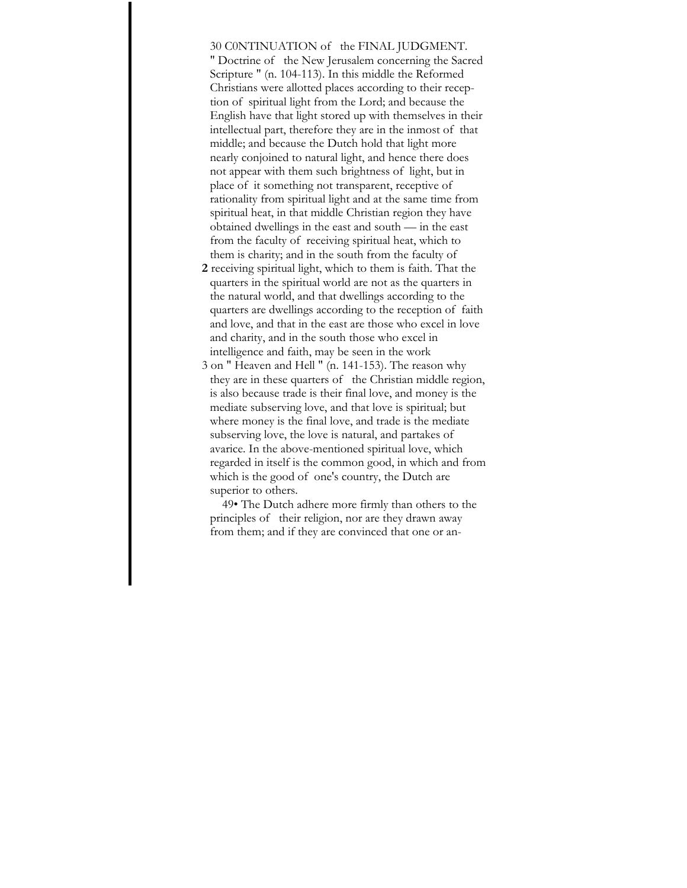30 C0NTINUATION of the FINAL JUDGMENT.

" Doctrine of the New Jerusalem concerning the Sacred Scripture " (n. 104-113). In this middle the Reformed Christians were allotted places according to their reception of spiritual light from the Lord; and because the English have that light stored up with themselves in their intellectual part, therefore they are in the inmost of that middle; and because the Dutch hold that light more nearly conjoined to natural light, and hence there does not appear with them such brightness of light, but in place of it something not transparent, receptive of rationality from spiritual light and at the same time from spiritual heat, in that middle Christian region they have obtained dwellings in the east and south — in the east from the faculty of receiving spiritual heat, which to them is charity; and in the south from the faculty of

- **2** receiving spiritual light, which to them is faith. That the quarters in the spiritual world are not as the quarters in the natural world, and that dwellings according to the quarters are dwellings according to the reception of faith and love, and that in the east are those who excel in love and charity, and in the south those who excel in intelligence and faith, may be seen in the work
- 3 on " Heaven and Hell " (n. 141-153). The reason why they are in these quarters of the Christian middle region, is also because trade is their final love, and money is the mediate subserving love, and that love is spiritual; but where money is the final love, and trade is the mediate subserving love, the love is natural, and partakes of avarice. In the above-mentioned spiritual love, which regarded in itself is the common good, in which and from which is the good of one's country, the Dutch are superior to others.

49• The Dutch adhere more firmly than others to the principles of their religion, nor are they drawn away from them; and if they are convinced that one or an-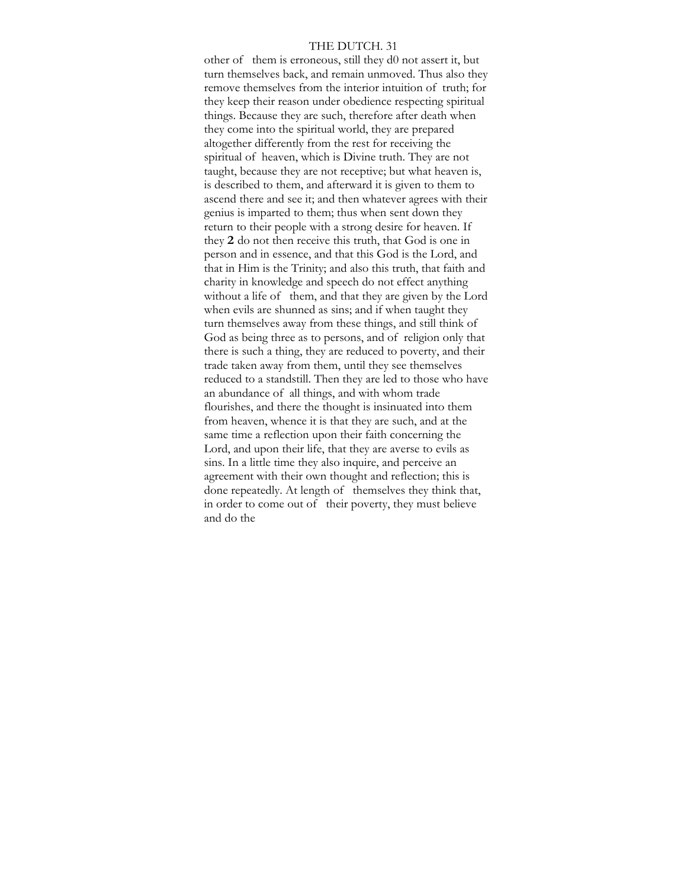### THE DUTCH. 31

other of them is erroneous, still they d0 not assert it, but turn themselves back, and remain unmoved. Thus also they remove themselves from the interior intuition of truth; for they keep their reason under obedience respecting spiritual things. Because they are such, therefore after death when they come into the spiritual world, they are prepared altogether differently from the rest for receiving the spiritual of heaven, which is Divine truth. They are not taught, because they are not receptive; but what heaven is, is described to them, and afterward it is given to them to ascend there and see it; and then whatever agrees with their genius is imparted to them; thus when sent down they return to their people with a strong desire for heaven. If they **2** do not then receive this truth, that God is one in person and in essence, and that this God is the Lord, and that in Him is the Trinity; and also this truth, that faith and charity in knowledge and speech do not effect anything without a life of them, and that they are given by the Lord when evils are shunned as sins; and if when taught they turn themselves away from these things, and still think of God as being three as to persons, and of religion only that there is such a thing, they are reduced to poverty, and their trade taken away from them, until they see themselves reduced to a standstill. Then they are led to those who have an abundance of all things, and with whom trade flourishes, and there the thought is insinuated into them from heaven, whence it is that they are such, and at the same time a reflection upon their faith concerning the Lord, and upon their life, that they are averse to evils as sins. In a little time they also inquire, and perceive an agreement with their own thought and reflection; this is done repeatedly. At length of themselves they think that, in order to come out of their poverty, they must believe and do the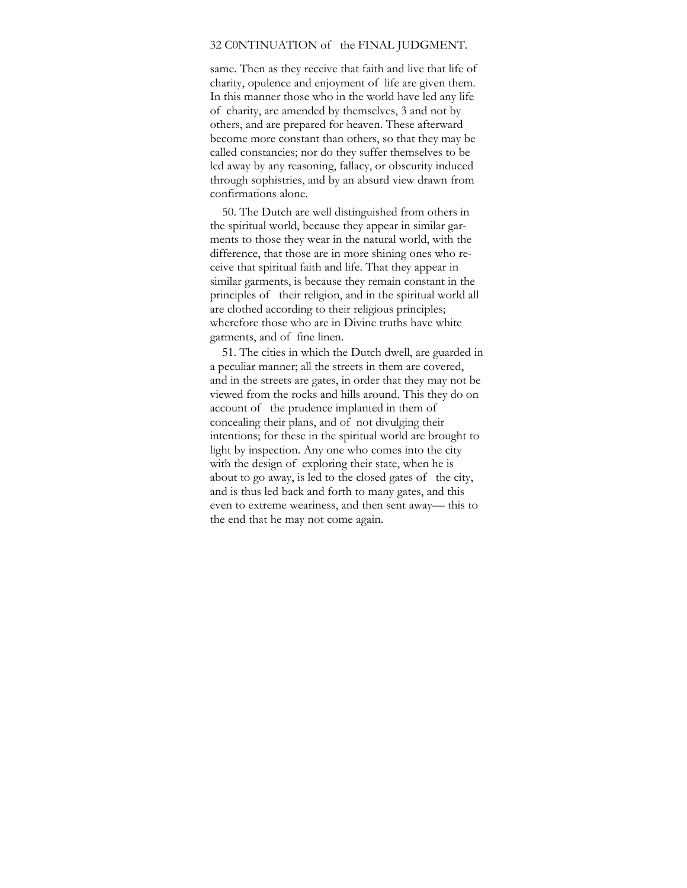# 32 C0NTINUATION of the FINAL JUDGMENT.

same. Then as they receive that faith and live that life of charity, opulence and enjoyment of life are given them. In this manner those who in the world have led any life of charity, are amended by themselves, 3 and not by others, and are prepared for heaven. These afterward become more constant than others, so that they may be called constancies; nor do they suffer themselves to be led away by any reasoning, fallacy, or obscurity induced through sophistries, and by an absurd view drawn from confirmations alone.

50. The Dutch are well distinguished from others in the spiritual world, because they appear in similar garments to those they wear in the natural world, with the difference, that those are in more shining ones who receive that spiritual faith and life. That they appear in similar garments, is because they remain constant in the principles of their religion, and in the spiritual world all are clothed according to their religious principles; wherefore those who are in Divine truths have white garments, and of fine linen.

51. The cities in which the Dutch dwell, are guarded in a peculiar manner; all the streets in them are covered, and in the streets are gates, in order that they may not be viewed from the rocks and hills around. This they do on account of the prudence implanted in them of concealing their plans, and of not divulging their intentions; for these in the spiritual world are brought to light by inspection. Any one who comes into the city with the design of exploring their state, when he is about to go away, is led to the closed gates of the city, and is thus led back and forth to many gates, and this even to extreme weariness, and then sent away— this to the end that he may not come again.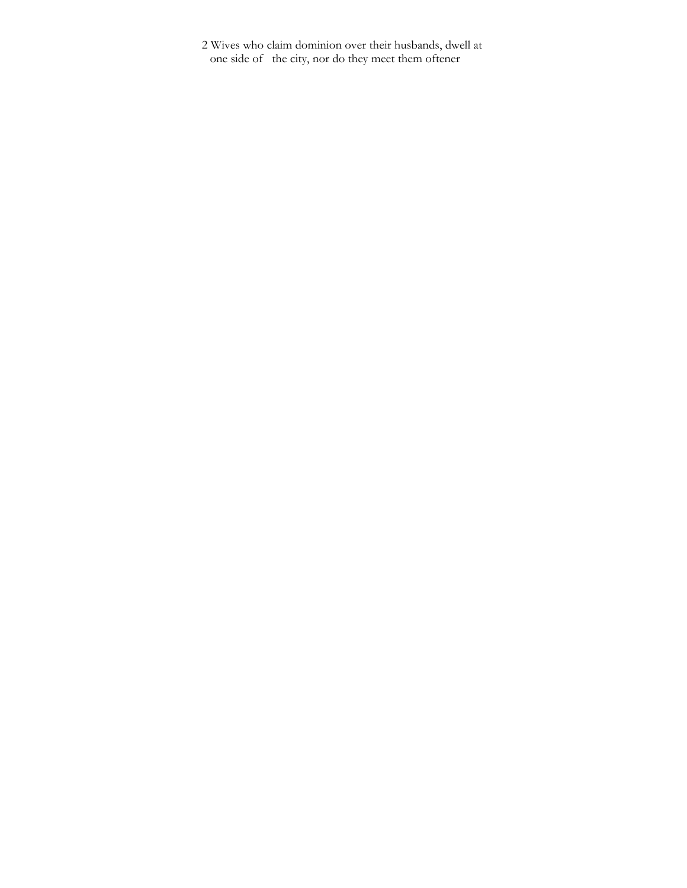2 Wives who claim dominion over their husbands, dwell at one side of the city, nor do they meet them oftener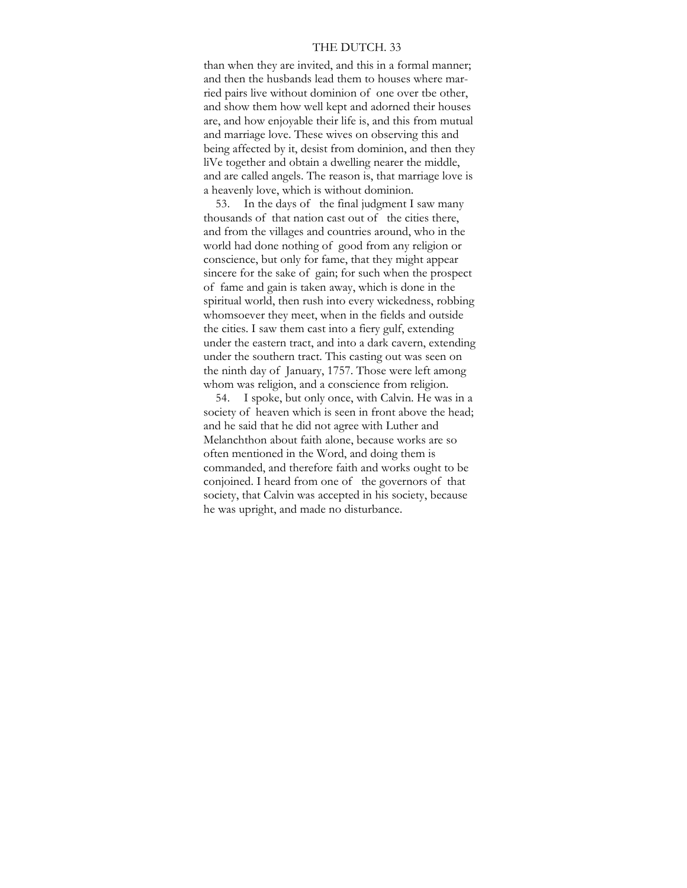#### THE DUTCH. 33

than when they are invited, and this in a formal manner; and then the husbands lead them to houses where married pairs live without dominion of one over tbe other, and show them how well kept and adorned their houses are, and how enjoyable their life is, and this from mutual and marriage love. These wives on observing this and being affected by it, desist from dominion, and then they liVe together and obtain a dwelling nearer the middle, and are called angels. The reason is, that marriage love is a heavenly love, which is without dominion.

53. In the days of the final judgment I saw many thousands of that nation cast out of the cities there, and from the villages and countries around, who in the world had done nothing of good from any religion or conscience, but only for fame, that they might appear sincere for the sake of gain; for such when the prospect of fame and gain is taken away, which is done in the spiritual world, then rush into every wickedness, robbing whomsoever they meet, when in the fields and outside the cities. I saw them cast into a fiery gulf, extending under the eastern tract, and into a dark cavern, extending under the southern tract. This casting out was seen on the ninth day of January, 1757. Those were left among whom was religion, and a conscience from religion.

54. I spoke, but only once, with Calvin. He was in a society of heaven which is seen in front above the head; and he said that he did not agree with Luther and Melanchthon about faith alone, because works are so often mentioned in the Word, and doing them is commanded, and therefore faith and works ought to be conjoined. I heard from one of the governors of that society, that Calvin was accepted in his society, because he was upright, and made no disturbance.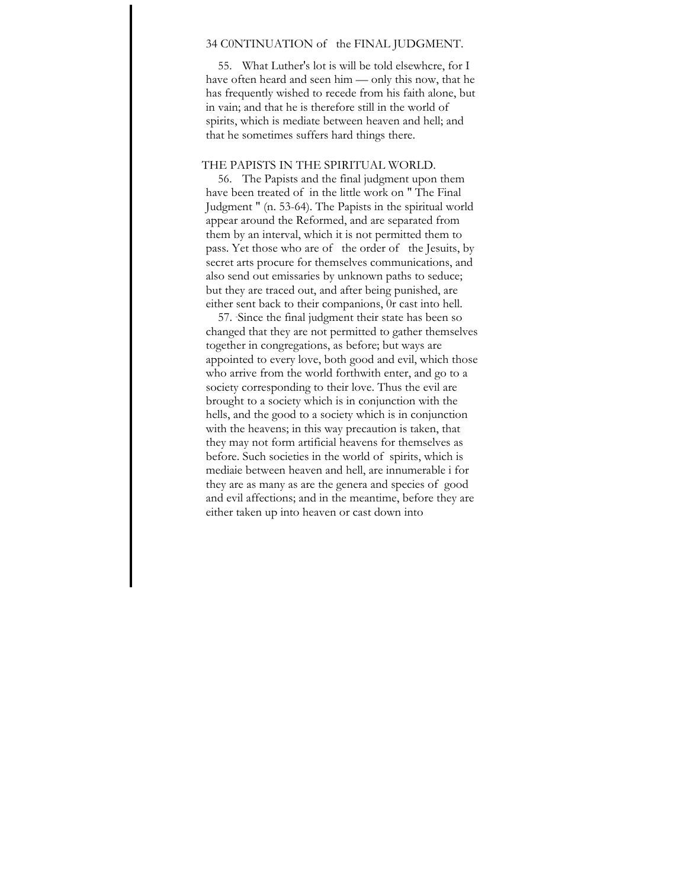# 34 C0NTINUATION of the FINAL JUDGMENT.

55. What Luther's lot is will be told elsewhcre, for I have often heard and seen him — only this now, that he has frequently wished to recede from his faith alone, but in vain; and that he is therefore still in the world of spirits, which is mediate between heaven and hell; and that he sometimes suffers hard things there.

# THE PAPISTS IN THE SPIRITUAL WORLD.

56. The Papists and the final judgment upon them have been treated of in the little work on " The Final Judgment " (n. 53-64). The Papists in the spiritual world appear around the Reformed, and are separated from them by an interval, which it is not permitted them to pass. Yet those who are of the order of the Jesuits, by secret arts procure for themselves communications, and also send out emissaries by unknown paths to seduce; but they are traced out, and after being punished, are either sent back to their companions, 0r cast into hell.

57. - Since the final judgment their state has been so changed that they are not permitted to gather themselves together in congregations, as before; but ways are appointed to every love, both good and evil, which those who arrive from the world forthwith enter, and go to a society corresponding to their love. Thus the evil are brought to a society which is in conjunction with the hells, and the good to a society which is in conjunction with the heavens; in this way precaution is taken, that they may not form artificial heavens for themselves as before. Such societies in the world of spirits, which is mediaie between heaven and hell, are innumerable i for they are as many as are the genera and species of good and evil affections; and in the meantime, before they are either taken up into heaven or cast down into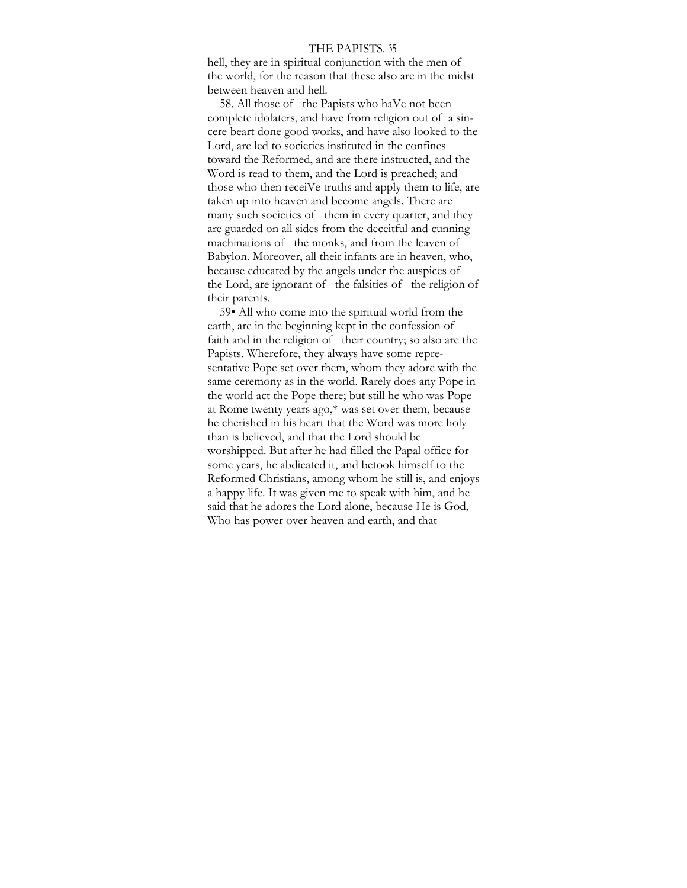#### THE PAPISTS. 35

hell, they are in spiritual conjunction with the men of the world, for the reason that these also are in the midst between heaven and hell.

58. All those of the Papists who haVe not been complete idolaters, and have from religion out of a sincere beart done good works, and have also looked to the Lord, are led to societies instituted in the confines toward the Reformed, and are there instructed, and the Word is read to them, and the Lord is preached; and those who then receiVe truths and apply them to life, are taken up into heaven and become angels. There are many such societies of them in every quarter, and they are guarded on all sides from the deceitful and cunning machinations of the monks, and from the leaven of Babylon. Moreover, all their infants are in heaven, who, because educated by the angels under the auspices of the Lord, are ignorant of the falsities of the religion of their parents.

59• All who come into the spiritual world from the earth, are in the beginning kept in the confession of faith and in the religion of their country; so also are the Papists. Wherefore, they always have some representative Pope set over them, whom they adore with the same ceremony as in the world. Rarely does any Pope in the world act the Pope there; but still he who was Pope at Rome twenty years ago,\* was set over them, because he cherished in his heart that the Word was more holy than is believed, and that the Lord should be worshipped. But after he had filled the Papal office for some years, he abdicated it, and betook himself to the Reformed Christians, among whom he still is, and enjoys a happy life. It was given me to speak with him, and he said that he adores the Lord alone, because He is God, Who has power over heaven and earth, and that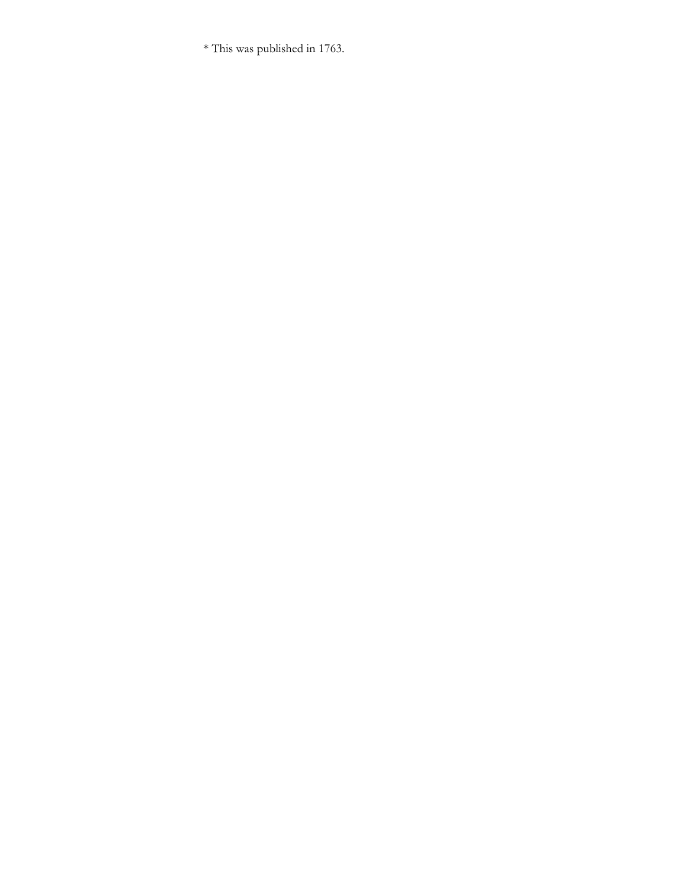\* This was published in 1763.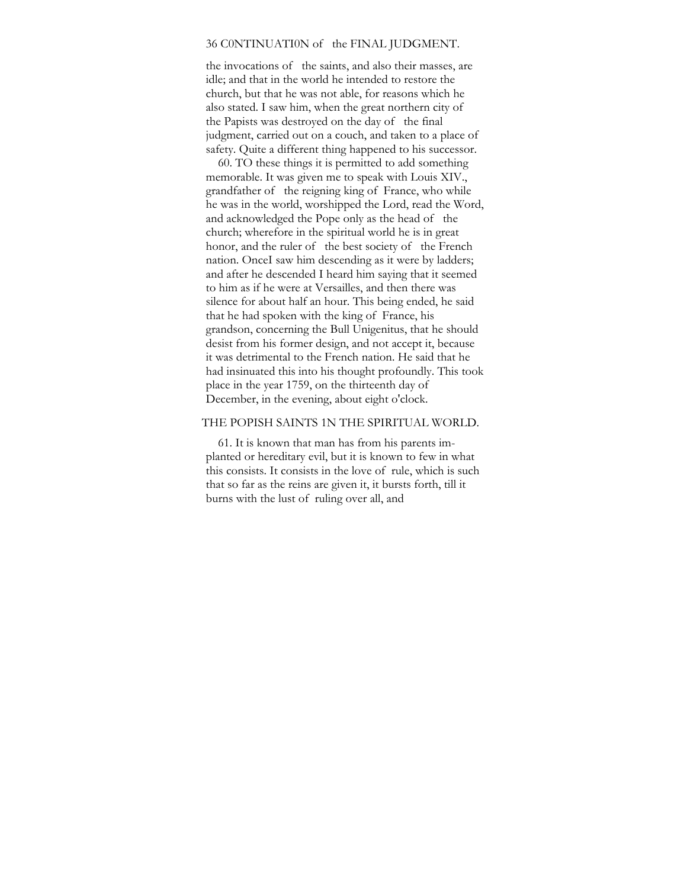### 36 C0NTINUATI0N of the FINAL JUDGMENT.

the invocations of the saints, and also their masses, are idle; and that in the world he intended to restore the church, but that he was not able, for reasons which he also stated. I saw him, when the great northern city of the Papists was destroyed on the day of the final judgment, carried out on a couch, and taken to a place of safety. Quite a different thing happened to his successor.

60. TO these things it is permitted to add something memorable. It was given me to speak with Louis XIV., grandfather of the reigning king of France, who while he was in the world, worshipped the Lord, read the Word, and acknowledged the Pope only as the head of the church; wherefore in the spiritual world he is in great honor, and the ruler of the best society of the French nation. OnceI saw him descending as it were by ladders; and after he descended I heard him saying that it seemed to him as if he were at Versailles, and then there was silence for about half an hour. This being ended, he said that he had spoken with the king of France, his grandson, concerning the Bull Unigenitus, that he should desist from his former design, and not accept it, because it was detrimental to the French nation. He said that he had insinuated this into his thought profoundly. This took place in the year 1759, on the thirteenth day of December, in the evening, about eight o'clock.

## THE POPISH SAINTS 1N THE SPIRITUAL WORLD.

61. It is known that man has from his parents implanted or hereditary evil, but it is known to few in what this consists. It consists in the love of rule, which is such that so far as the reins are given it, it bursts forth, till it burns with the lust of ruling over all, and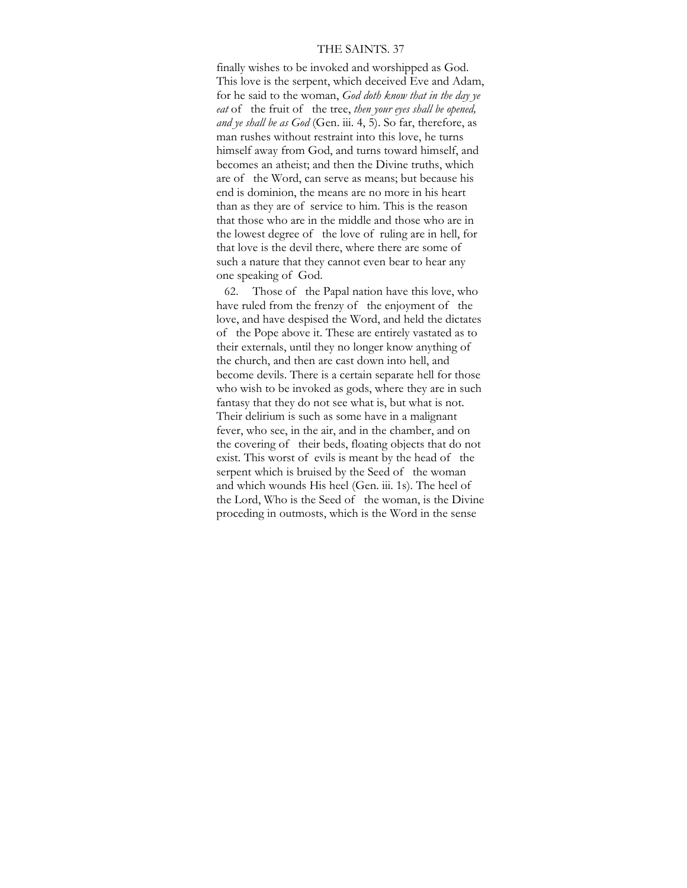# THE SAINTS. 37

finally wishes to be invoked and worshipped as God. This love is the serpent, which deceived Eve and Adam, for he said to the woman, *God doth know that in the day ye eat* of the fruit of the tree, *then your eyes shall be opened, and ye shall be as God* (Gen. iii. 4, 5). So far, therefore, as man rushes without restraint into this love, he turns himself away from God, and turns toward himself, and becomes an atheist; and then the Divine truths, which are of the Word, can serve as means; but because his end is dominion, the means are no more in his heart than as they are of service to him. This is the reason that those who are in the middle and those who are in the lowest degree of the love of ruling are in hell, for that love is the devil there, where there are some of such a nature that they cannot even bear to hear any one speaking of God.

62. Those of the Papal nation have this love, who have ruled from the frenzy of the enjoyment of the love, and have despised the Word, and held the dictates of the Pope above it. These are entirely vastated as to their externals, until they no longer know anything of the church, and then are cast down into hell, and become devils. There is a certain separate hell for those who wish to be invoked as gods, where they are in such fantasy that they do not see what is, but what is not. Their delirium is such as some have in a malignant fever, who see, in the air, and in the chamber, and on the covering of their beds, floating objects that do not exist. This worst of evils is meant by the head of the serpent which is bruised by the Seed of the woman and which wounds His heel (Gen. iii. 1s). The heel of the Lord, Who is the Seed of the woman, is the Divine proceding in outmosts, which is the Word in the sense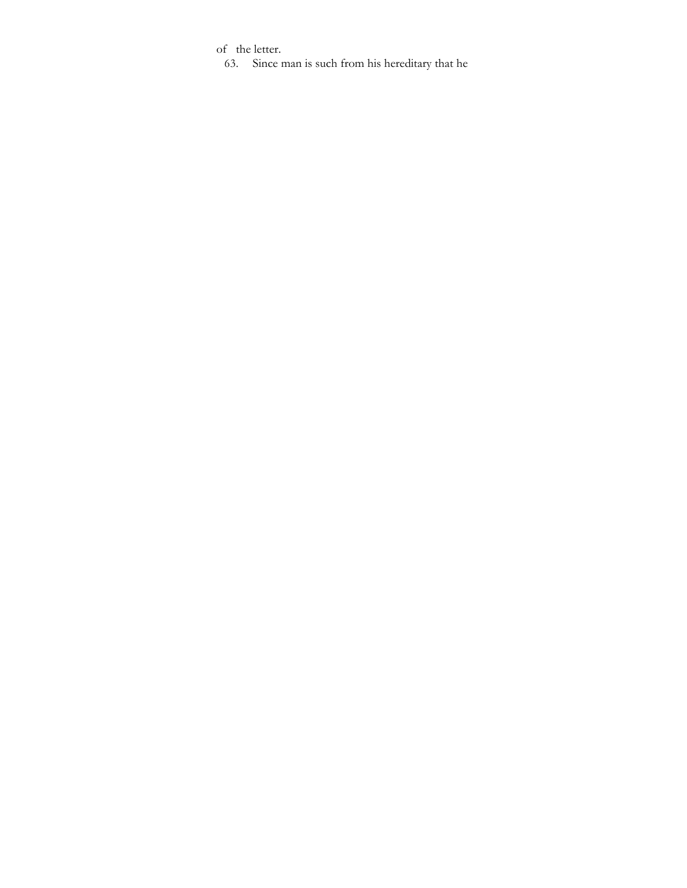of the letter.

63. Since man is such from his hereditary that he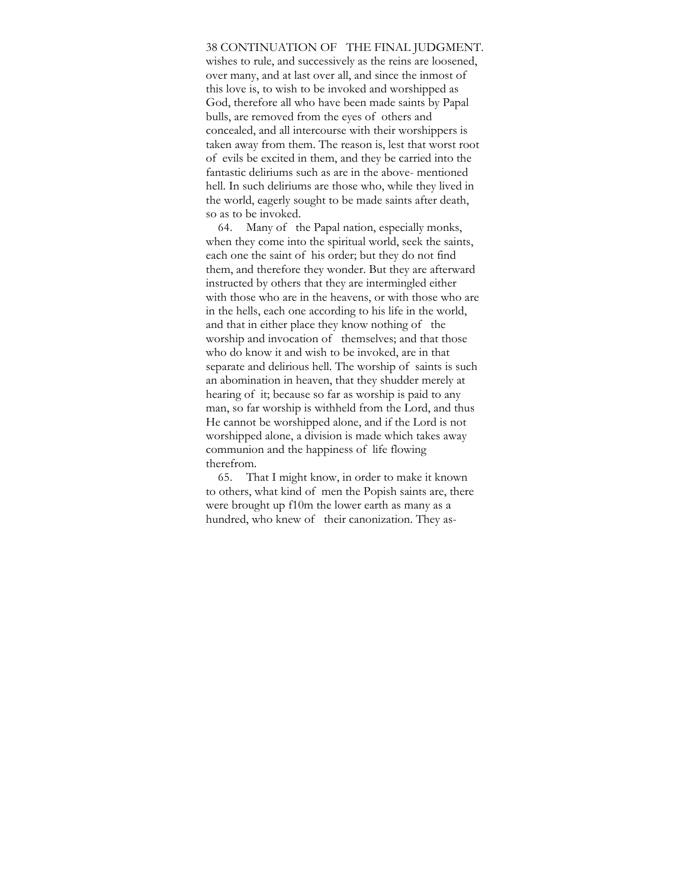### 38 CONTINUATION OF THE FINAL JUDGMENT.

wishes to rule, and successively as the reins are loosened, over many, and at last over all, and since the inmost of this love is, to wish to be invoked and worshipped as God, therefore all who have been made saints by Papal bulls, are removed from the eyes of others and concealed, and all intercourse with their worshippers is taken away from them. The reason is, lest that worst root of evils be excited in them, and they be carried into the fantastic deliriums such as are in the above- mentioned hell. In such deliriums are those who, while they lived in the world, eagerly sought to be made saints after death, so as to be invoked.

64. Many of the Papal nation, especially monks, when they come into the spiritual world, seek the saints, each one the saint of his order; but they do not find them, and therefore they wonder. But they are afterward instructed by others that they are intermingled either with those who are in the heavens, or with those who are in the hells, each one according to his life in the world, and that in either place they know nothing of the worship and invocation of themselves; and that those who do know it and wish to be invoked, are in that separate and delirious hell. The worship of saints is such an abomination in heaven, that they shudder merely at hearing of it; because so far as worship is paid to any man, so far worship is withheld from the Lord, and thus He cannot be worshipped alone, and if the Lord is not worshipped alone, a division is made which takes away communion and the happiness of life flowing therefrom.

65. That I might know, in order to make it known to others, what kind of men the Popish saints are, there were brought up f10m the lower earth as many as a hundred, who knew of their canonization. They as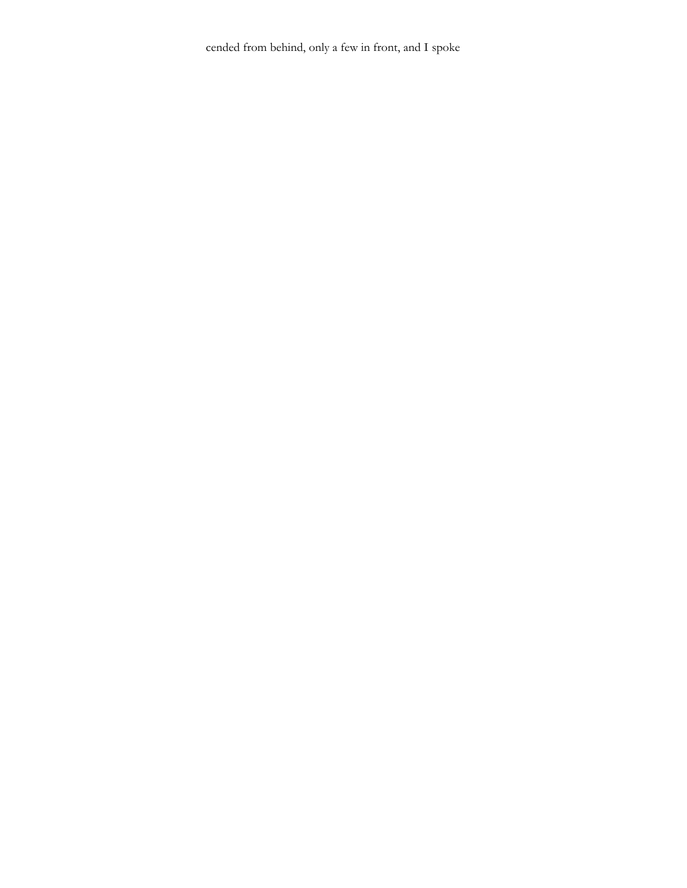cended from behind, only a few in front, and I spoke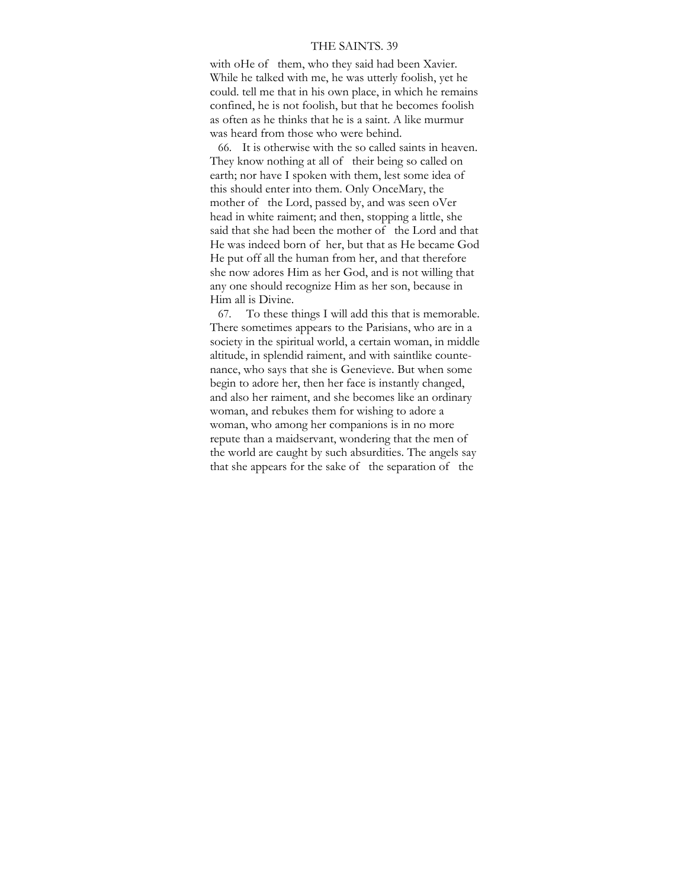# THE SAINTS. 39

with oHe of them, who they said had been Xavier. While he talked with me, he was utterly foolish, yet he could. tell me that in his own place, in which he remains confined, he is not foolish, but that he becomes foolish as often as he thinks that he is a saint. A like murmur was heard from those who were behind.

66. It is otherwise with the so called saints in heaven. They know nothing at all of their being so called on earth; nor have I spoken with them, lest some idea of this should enter into them. Only OnceMary, the mother of the Lord, passed by, and was seen oVer head in white raiment; and then, stopping a little, she said that she had been the mother of the Lord and that He was indeed born of her, but that as He became God He put off all the human from her, and that therefore she now adores Him as her God, and is not willing that any one should recognize Him as her son, because in Him all is Divine.

67. To these things I will add this that is memorable. There sometimes appears to the Parisians, who are in a society in the spiritual world, a certain woman, in middle altitude, in splendid raiment, and with saintlike countenance, who says that she is Genevieve. But when some begin to adore her, then her face is instantly changed, and also her raiment, and she becomes like an ordinary woman, and rebukes them for wishing to adore a woman, who among her companions is in no more repute than a maidservant, wondering that the men of the world are caught by such absurdities. The angels say that she appears for the sake of the separation of the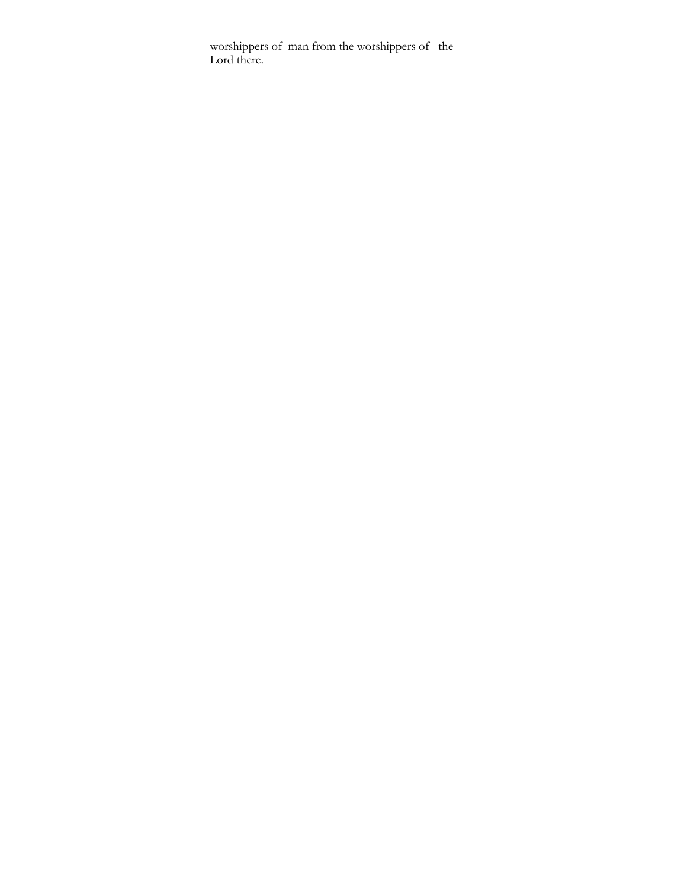worshippers of man from the worshippers of the Lord there.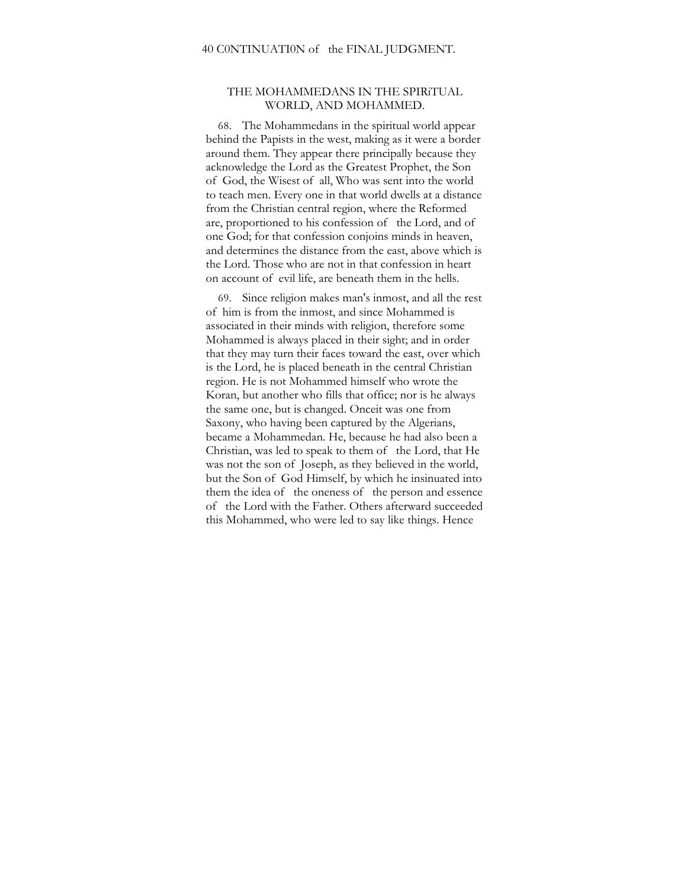# THE MOHAMMEDANS IN THE SPIRiTUAL WORLD, AND MOHAMMED.

68. The Mohammedans in the spiritual world appear behind the Papists in the west, making as it were a border around them. They appear there principally because they acknowledge the Lord as the Greatest Prophet, the Son of God, the Wisest of all, Who was sent into the world to teach men. Every one in that world dwells at a distance from the Christian central region, where the Reformed are, proportioned to his confession of the Lord, and of one God; for that confession conjoins minds in heaven, and determines the distance from the east, above which is the Lord. Those who are not in that confession in heart on account of evil life, are beneath them in the hells.

69. Since religion makes man's inmost, and all the rest of him is from the inmost, and since Mohammed is associated in their minds with religion, therefore some Mohammed is always placed in their sight; and in order that they may turn their faces toward the east, over which is the Lord, he is placed beneath in the central Christian region. He is not Mohammed himself who wrote the Koran, but another who fills that office; nor is he always the same one, but is changed. Onceit was one from Saxony, who having been captured by the Algerians, became a Mohammedan. He, because he had also been a Christian, was led to speak to them of the Lord, that He was not the son of Joseph, as they believed in the world, but the Son of God Himself, by which he insinuated into them the idea of the oneness of the person and essence of the Lord with the Father. Others afterward succeeded this Mohammed, who were led to say like things. Hence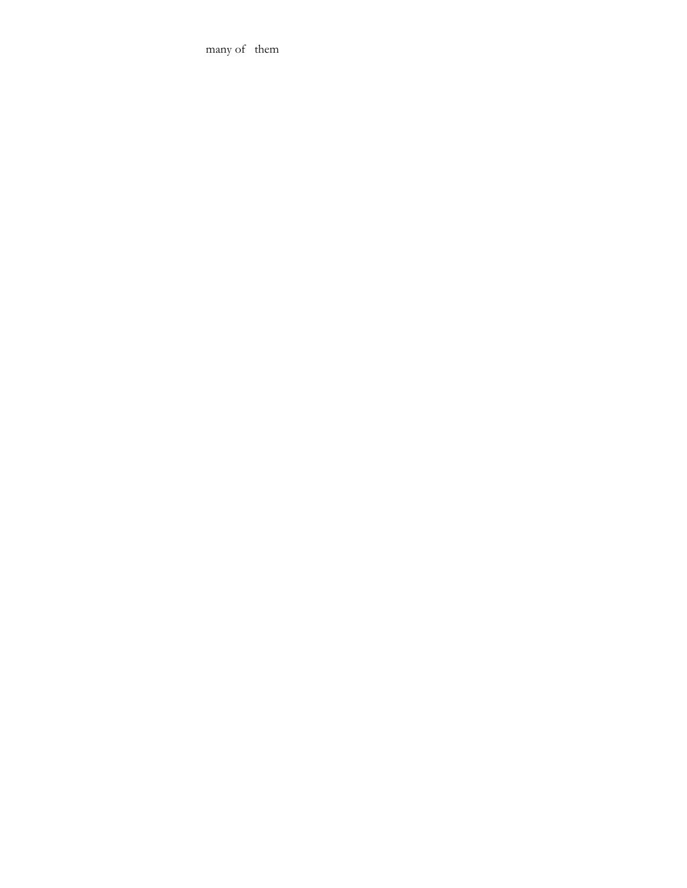many of them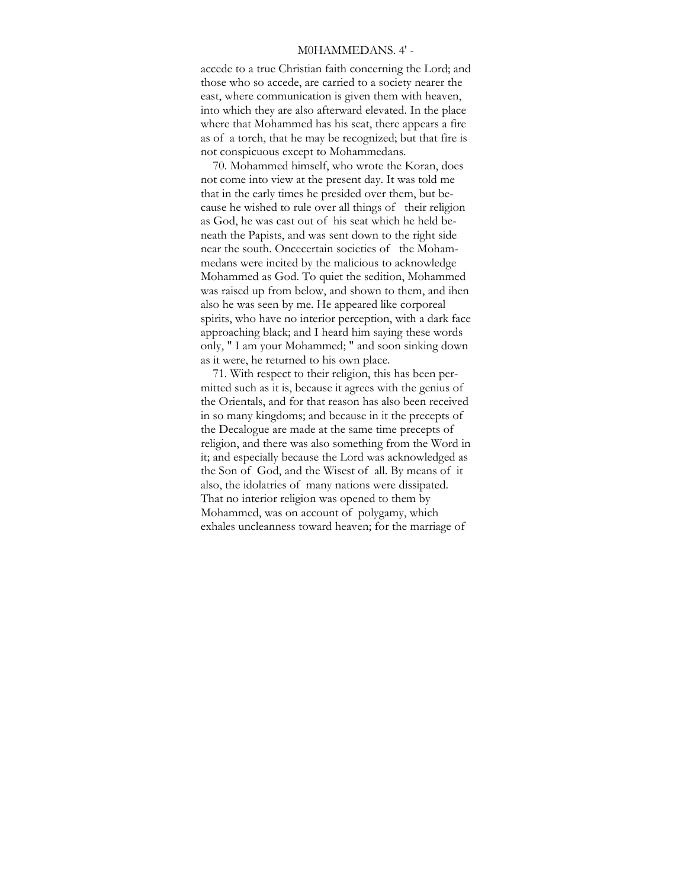## M0HAMMEDANS. 4' -

accede to a true Christian faith concerning the Lord; and those who so accede, are carried to a society nearer the east, where communication is given them with heaven, into which they are also afterward elevated. In the place where that Mohammed has his seat, there appears a fire as of a torch, that he may be recognized; but that fire is not conspicuous except to Mohammedans.

70. Mohammed himself, who wrote the Koran, does not come into view at the present day. It was told me that in the early times he presided over them, but because he wished to rule over all things of their religion as God, he was cast out of his seat which he held beneath the Papists, and was sent down to the right side near the south. Oncecertain societies of the Mohammedans were incited by the malicious to acknowledge Mohammed as God. To quiet the sedition, Mohammed was raised up from below, and shown to them, and ihen also he was seen by me. He appeared like corporeal spirits, who have no interior perception, with a dark face approaching black; and I heard him saying these words only, " I am your Mohammed; " and soon sinking down as it were, he returned to his own place.

71. With respect to their religion, this has been permitted such as it is, because it agrees with the genius of the Orientals, and for that reason has also been received in so many kingdoms; and because in it the precepts of the Decalogue are made at the same time precepts of religion, and there was also something from the Word in it; and especially because the Lord was acknowledged as the Son of God, and the Wisest of all. By means of it also, the idolatries of many nations were dissipated. That no interior religion was opened to them by Mohammed, was on account of polygamy, which exhales uncleanness toward heaven; for the marriage of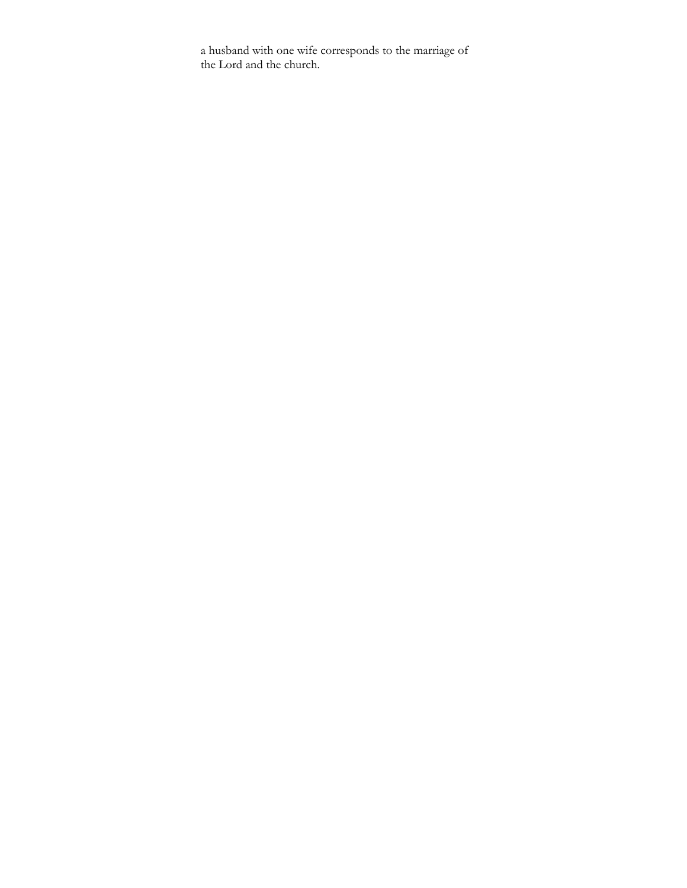a husband with one wife corresponds to the marriage of the Lord and the church.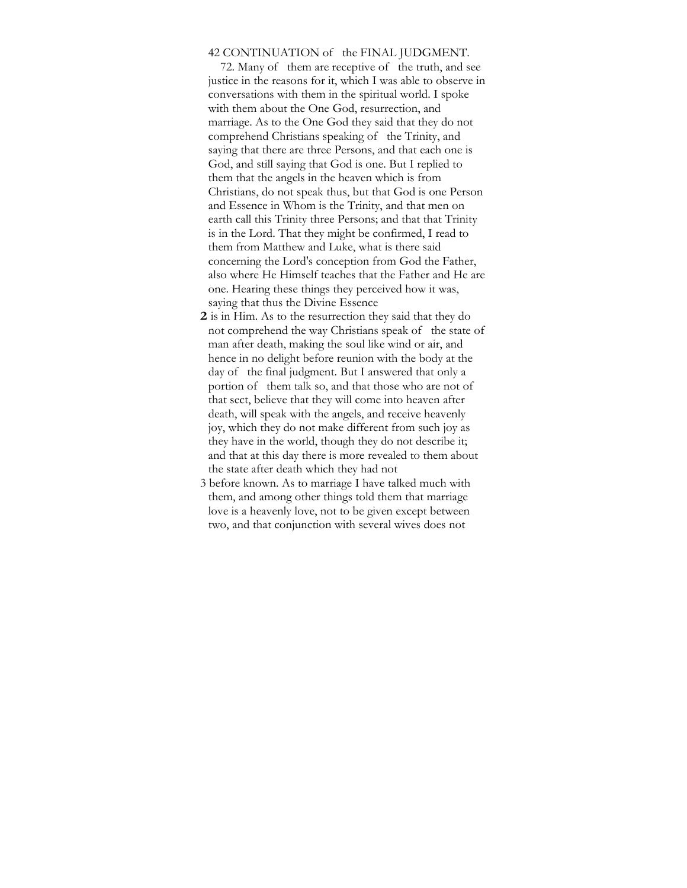## 42 CONTINUATION of the FINAL JUDGMENT.

72. Many of them are receptive of the truth, and see justice in the reasons for it, which I was able to observe in conversations with them in the spiritual world. I spoke with them about the One God, resurrection, and marriage. As to the One God they said that they do not comprehend Christians speaking of the Trinity, and saying that there are three Persons, and that each one is God, and still saying that God is one. But I replied to them that the angels in the heaven which is from Christians, do not speak thus, but that God is one Person and Essence in Whom is the Trinity, and that men on earth call this Trinity three Persons; and that that Trinity is in the Lord. That they might be confirmed, I read to them from Matthew and Luke, what is there said concerning the Lord's conception from God the Father, also where He Himself teaches that the Father and He are one. Hearing these things they perceived how it was, saying that thus the Divine Essence

- **2** is in Him. As to the resurrection they said that they do not comprehend the way Christians speak of the state of man after death, making the soul like wind or air, and hence in no delight before reunion with the body at the day of the final judgment. But I answered that only a portion of them talk so, and that those who are not of that sect, believe that they will come into heaven after death, will speak with the angels, and receive heavenly joy, which they do not make different from such joy as they have in the world, though they do not describe it; and that at this day there is more revealed to them about the state after death which they had not
- 3 before known. As to marriage I have talked much with them, and among other things told them that marriage love is a heavenly love, not to be given except between two, and that conjunction with several wives does not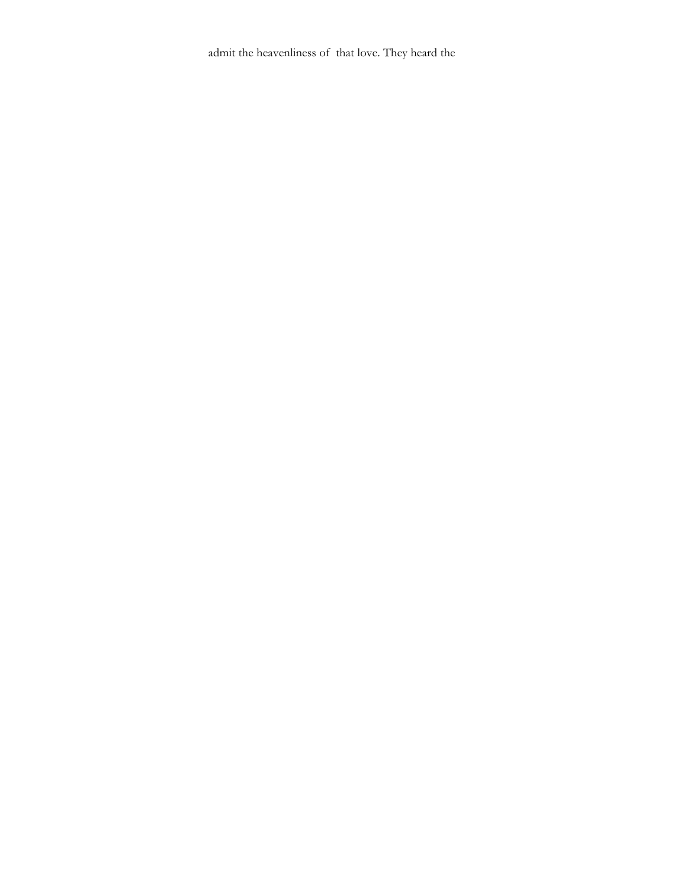admit the heavenliness of that love. They heard the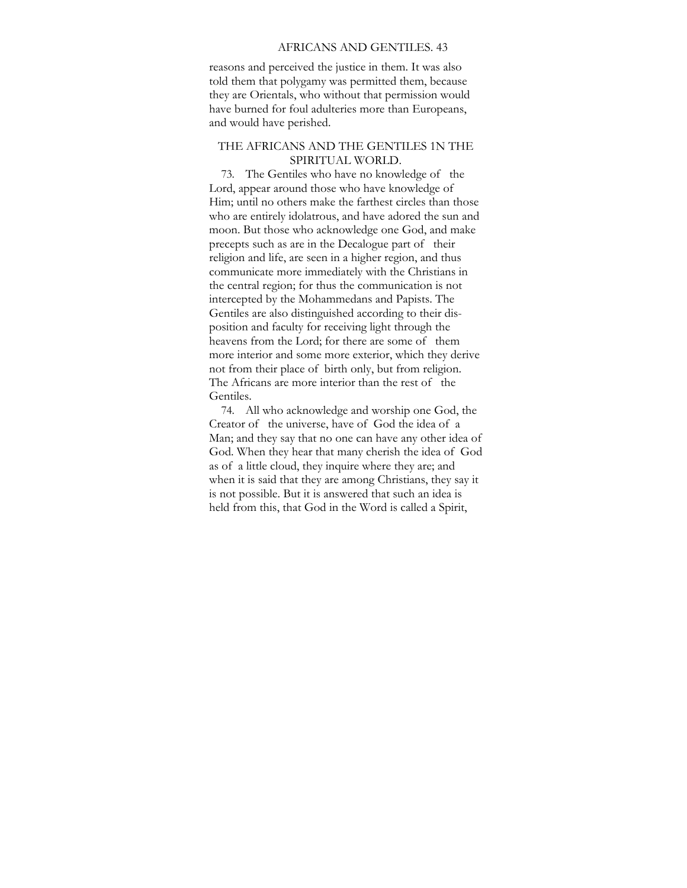#### AFRICANS AND GENTILES. 43

reasons and perceived the justice in them. It was also told them that polygamy was permitted them, because they are Orientals, who without that permission would have burned for foul adulteries more than Europeans, and would have perished.

## THE AFRICANS AND THE GENTILES 1N THE SPIRITUAL WORLD.

73. The Gentiles who have no knowledge of the Lord, appear around those who have knowledge of Him; until no others make the farthest circles than those who are entirely idolatrous, and have adored the sun and moon. But those who acknowledge one God, and make precepts such as are in the Decalogue part of their religion and life, are seen in a higher region, and thus communicate more immediately with the Christians in the central region; for thus the communication is not intercepted by the Mohammedans and Papists. The Gentiles are also distinguished according to their disposition and faculty for receiving light through the heavens from the Lord; for there are some of them more interior and some more exterior, which they derive not from their place of birth only, but from religion. The Africans are more interior than the rest of the Gentiles.

74. All who acknowledge and worship one God, the Creator of the universe, have of God the idea of a Man; and they say that no one can have any other idea of God. When they hear that many cherish the idea of God as of a little cloud, they inquire where they are; and when it is said that they are among Christians, they say it is not possible. But it is answered that such an idea is held from this, that God in the Word is called a Spirit,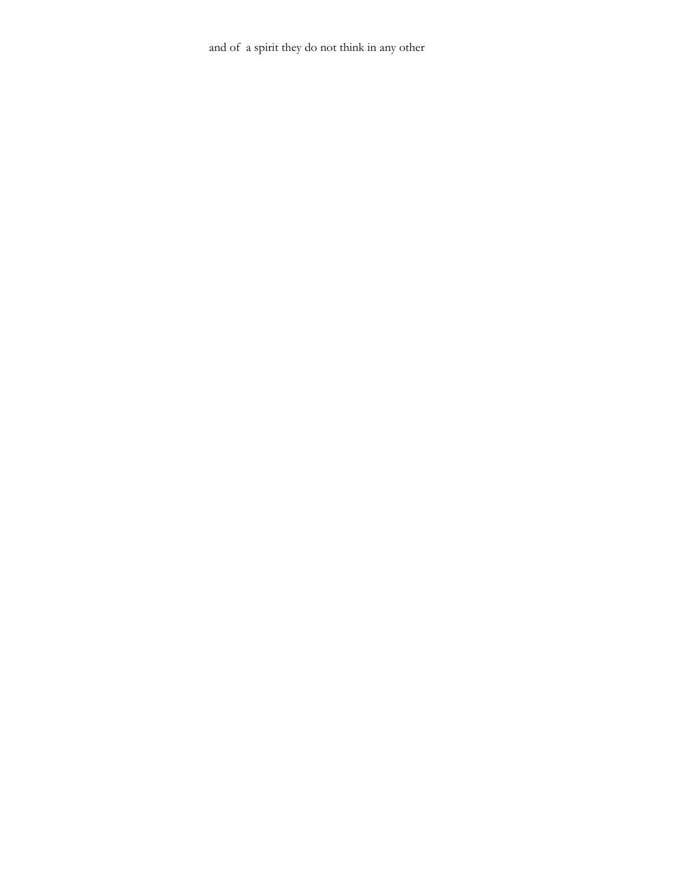and of a spirit they do not think in any other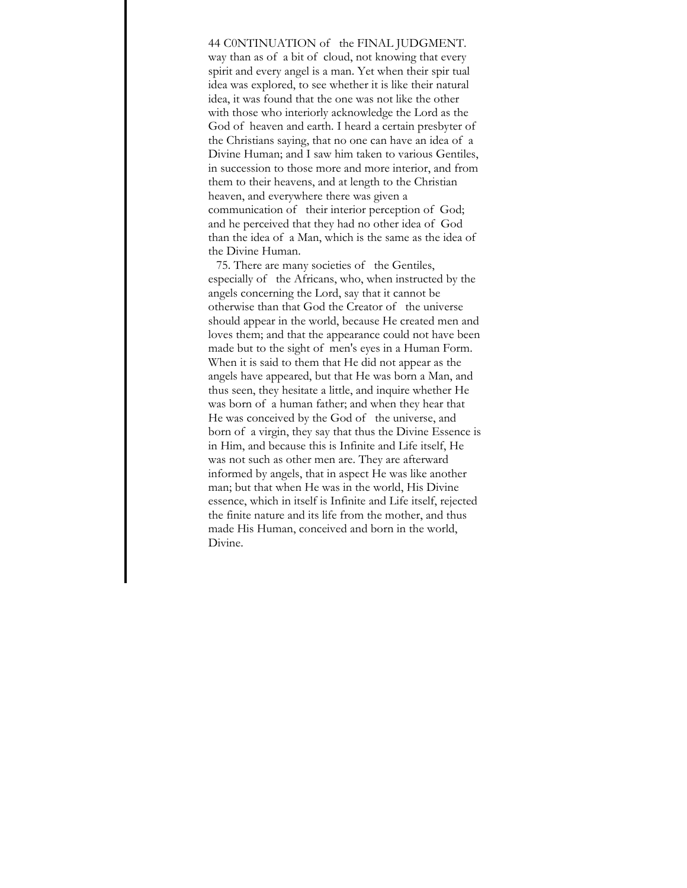44 C0NTINUATION of the FINAL JUDGMENT. way than as of a bit of cloud, not knowing that every spirit and every angel is a man. Yet when their spir tual idea was explored, to see whether it is like their natural idea, it was found that the one was not like the other with those who interiorly acknowledge the Lord as the God of heaven and earth. I heard a certain presbyter of the Christians saying, that no one can have an idea of a Divine Human; and I saw him taken to various Gentiles, in succession to those more and more interior, and from them to their heavens, and at length to the Christian heaven, and everywhere there was given a communication of their interior perception of God; and he perceived that they had no other idea of God than the idea of a Man, which is the same as the idea of the Divine Human.

75. There are many societies of the Gentiles, especially of the Africans, who, when instructed by the angels concerning the Lord, say that it cannot be otherwise than that God the Creator of the universe should appear in the world, because He created men and loves them; and that the appearance could not have been made but to the sight of men's eyes in a Human Form. When it is said to them that He did not appear as the angels have appeared, but that He was born a Man, and thus seen, they hesitate a little, and inquire whether He was born of a human father; and when they hear that He was conceived by the God of the universe, and born of a virgin, they say that thus the Divine Essence is in Him, and because this is Infinite and Life itself, He was not such as other men are. They are afterward informed by angels, that in aspect He was like another man; but that when He was in the world, His Divine essence, which in itself is Infinite and Life itself, rejected the finite nature and its life from the mother, and thus made His Human, conceived and born in the world, Divine.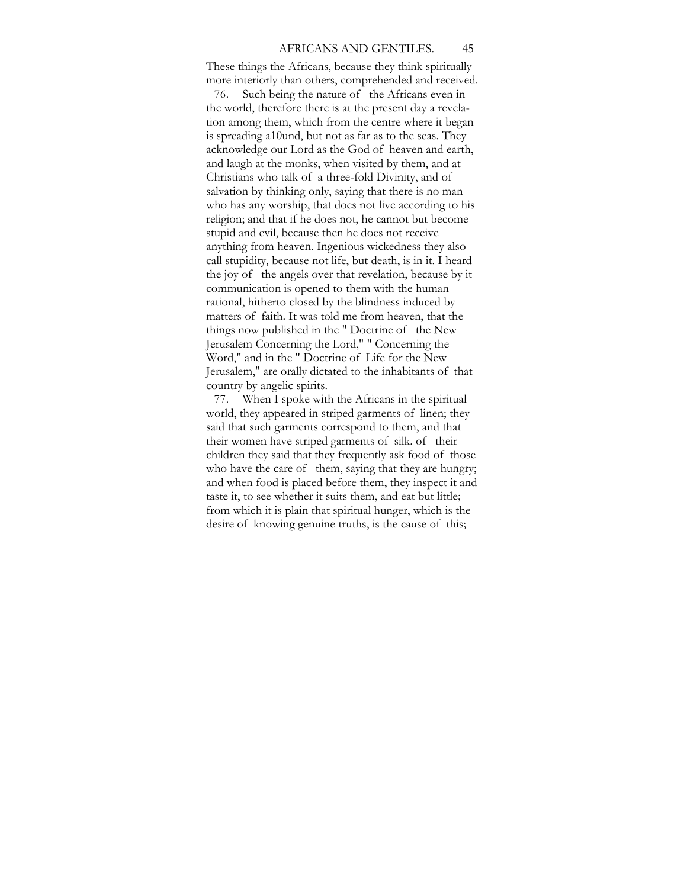These things the Africans, because they think spiritually more interiorly than others, comprehended and received.

76. Such being the nature of the Africans even in the world, therefore there is at the present day a revelation among them, which from the centre where it began is spreading a10und, but not as far as to the seas. They acknowledge our Lord as the God of heaven and earth, and laugh at the monks, when visited by them, and at Christians who talk of a three-fold Divinity, and of salvation by thinking only, saying that there is no man who has any worship, that does not live according to his religion; and that if he does not, he cannot but become stupid and evil, because then he does not receive anything from heaven. Ingenious wickedness they also call stupidity, because not life, but death, is in it. I heard the joy of the angels over that revelation, because by it communication is opened to them with the human rational, hitherto closed by the blindness induced by matters of faith. It was told me from heaven, that the things now published in the " Doctrine of the New Jerusalem Concerning the Lord," " Concerning the Word," and in the " Doctrine of Life for the New Jerusalem," are orally dictated to the inhabitants of that country by angelic spirits.

77. When I spoke with the Africans in the spiritual world, they appeared in striped garments of linen; they said that such garments correspond to them, and that their women have striped garments of silk. of their children they said that they frequently ask food of those who have the care of them, saying that they are hungry; and when food is placed before them, they inspect it and taste it, to see whether it suits them, and eat but little; from which it is plain that spiritual hunger, which is the desire of knowing genuine truths, is the cause of this;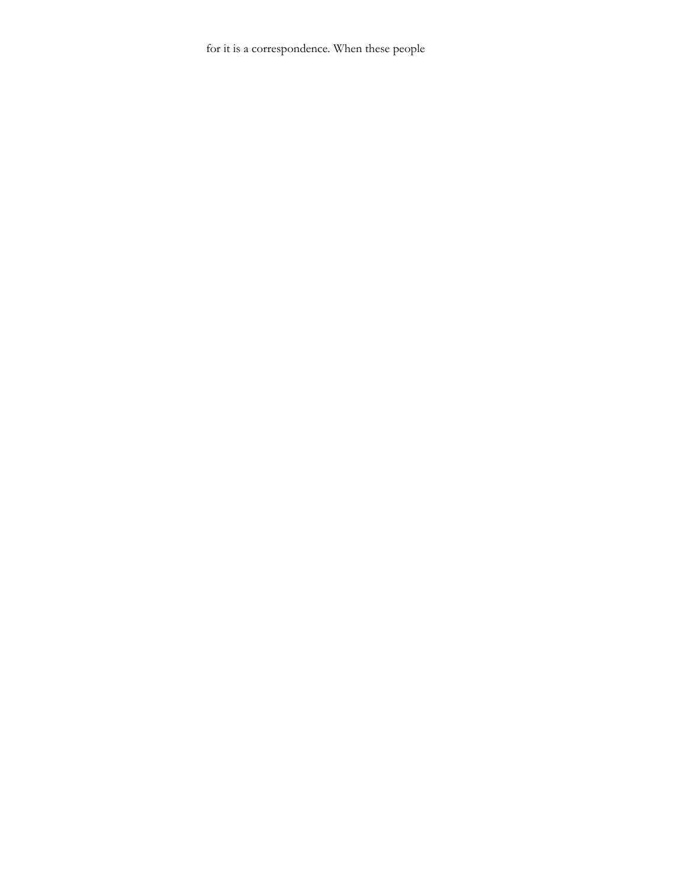for it is a correspondence. When these people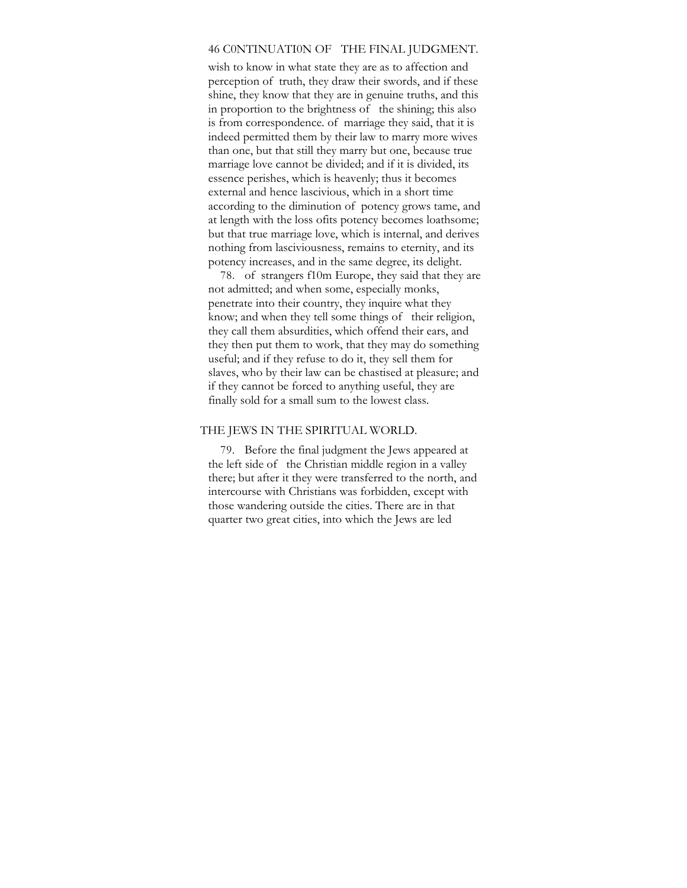# 46 C0NTINUATI0N OF THE FINAL JUDGMENT.

wish to know in what state they are as to affection and perception of truth, they draw their swords, and if these shine, they know that they are in genuine truths, and this in proportion to the brightness of the shining; this also is from correspondence. of marriage they said, that it is indeed permitted them by their law to marry more wives than one, but that still they marry but one, because true marriage love cannot be divided; and if it is divided, its essence perishes, which is heavenly; thus it becomes external and hence lascivious, which in a short time according to the diminution of potency grows tame, and at length with the loss ofits potency becomes loathsome; but that true marriage love, which is internal, and derives nothing from lasciviousness, remains to eternity, and its potency increases, and in the same degree, its delight.

78. of strangers f10m Europe, they said that they are not admitted; and when some, especially monks, penetrate into their country, they inquire what they know; and when they tell some things of their religion, they call them absurdities, which offend their ears, and they then put them to work, that they may do something useful; and if they refuse to do it, they sell them for slaves, who by their law can be chastised at pleasure; and if they cannot be forced to anything useful, they are finally sold for a small sum to the lowest class.

### THE JEWS IN THE SPIRITUAL WORLD.

79. Before the final judgment the Jews appeared at the left side of the Christian middle region in a valley there; but after it they were transferred to the north, and intercourse with Christians was forbidden, except with those wandering outside the cities. There are in that quarter two great cities, into which the Jews are led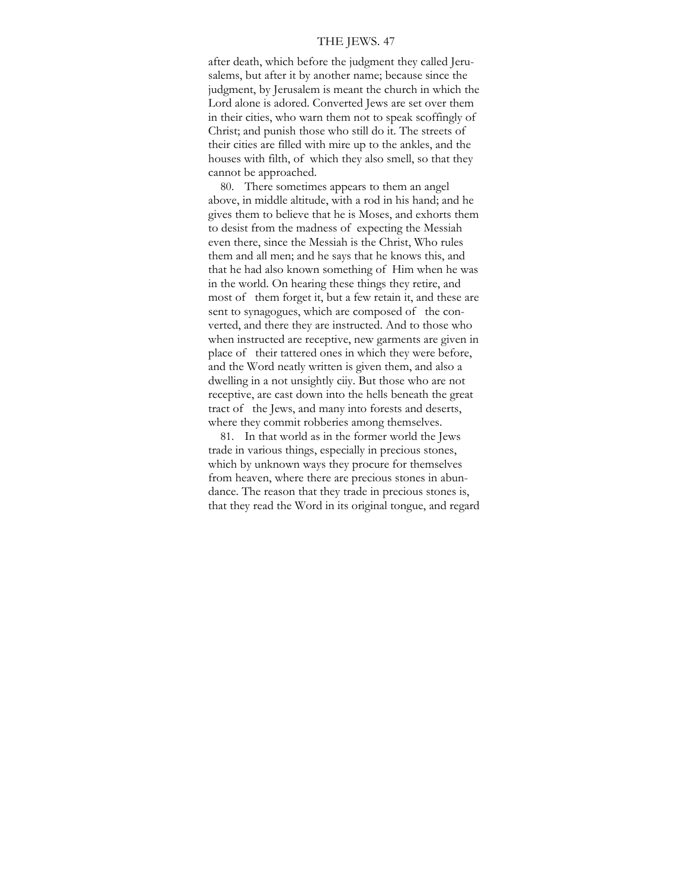### THE JEWS. 47

after death, which before the judgment they called Jerusalems, but after it by another name; because since the judgment, by Jerusalem is meant the church in which the Lord alone is adored. Converted Jews are set over them in their cities, who warn them not to speak scoffingly of Christ; and punish those who still do it. The streets of their cities are filled with mire up to the ankles, and the houses with filth, of which they also smell, so that they cannot be approached.

80. There sometimes appears to them an angel above, in middle altitude, with a rod in his hand; and he gives them to believe that he is Moses, and exhorts them to desist from the madness of expecting the Messiah even there, since the Messiah is the Christ, Who rules them and all men; and he says that he knows this, and that he had also known something of Him when he was in the world. On hearing these things they retire, and most of them forget it, but a few retain it, and these are sent to synagogues, which are composed of the converted, and there they are instructed. And to those who when instructed are receptive, new garments are given in place of their tattered ones in which they were before, and the Word neatly written is given them, and also a dwelling in a not unsightly ciiy. But those who are not receptive, are cast down into the hells beneath the great tract of the Jews, and many into forests and deserts, where they commit robberies among themselves.

81. In that world as in the former world the Jews trade in various things, especially in precious stones, which by unknown ways they procure for themselves from heaven, where there are precious stones in abundance. The reason that they trade in precious stones is, that they read the Word in its original tongue, and regard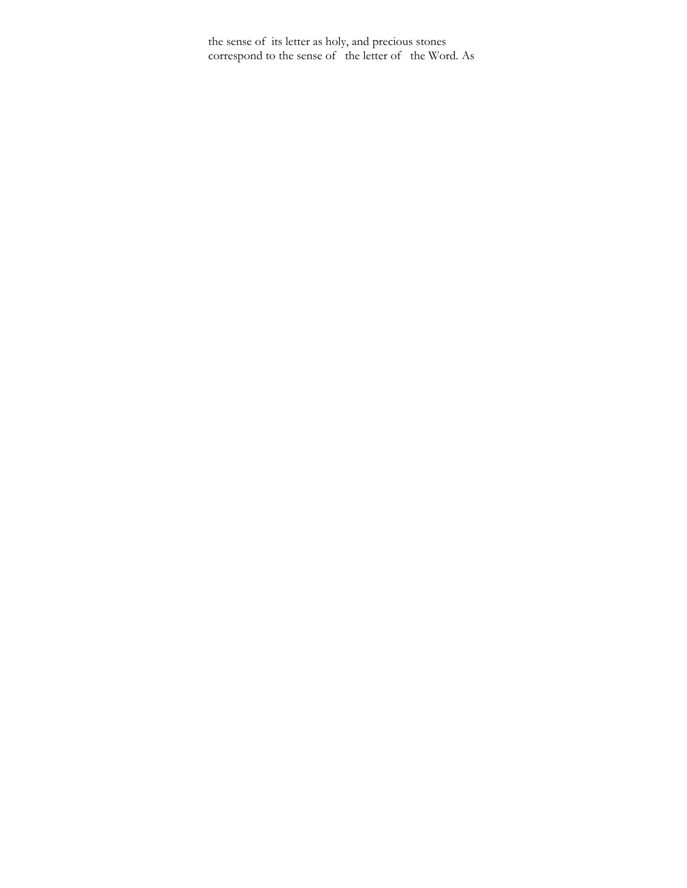the sense of its letter as holy, and precious stones correspond to the sense of the letter of the Word. As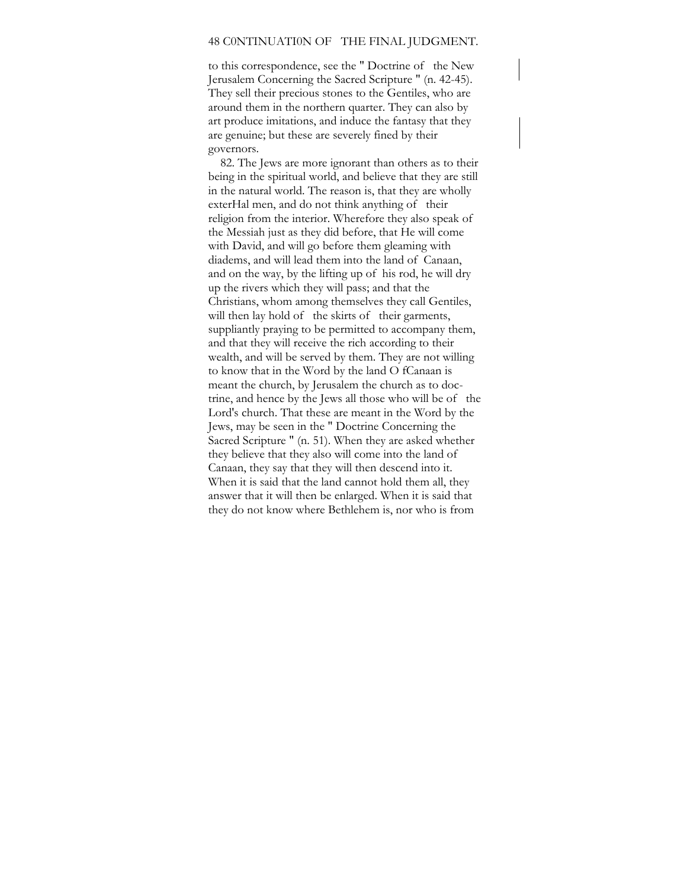### 48 C0NTINUATI0N OF THE FINAL JUDGMENT.

to this correspondence, see the " Doctrine of the New Jerusalem Concerning the Sacred Scripture " (n. 42-45). They sell their precious stones to the Gentiles, who are around them in the northern quarter. They can also by art produce imitations, and induce the fantasy that they are genuine; but these are severely fined by their governors.

82. The Jews are more ignorant than others as to their being in the spiritual world, and believe that they are still in the natural world. The reason is, that they are wholly exterHal men, and do not think anything of their religion from the interior. Wherefore they also speak of the Messiah just as they did before, that He will come with David, and will go before them gleaming with diadems, and will lead them into the land of Canaan, and on the way, by the lifting up of his rod, he will dry up the rivers which they will pass; and that the Christians, whom among themselves they call Gentiles, will then lay hold of the skirts of their garments, suppliantly praying to be permitted to accompany them, and that they will receive the rich according to their wealth, and will be served by them. They are not willing to know that in the Word by the land O fCanaan is meant the church, by Jerusalem the church as to doctrine, and hence by the Jews all those who will be of the Lord's church. That these are meant in the Word by the Jews, may be seen in the " Doctrine Concerning the Sacred Scripture " (n. 51). When they are asked whether they believe that they also will come into the land of Canaan, they say that they will then descend into it. When it is said that the land cannot hold them all, they answer that it will then be enlarged. When it is said that they do not know where Bethlehem is, nor who is from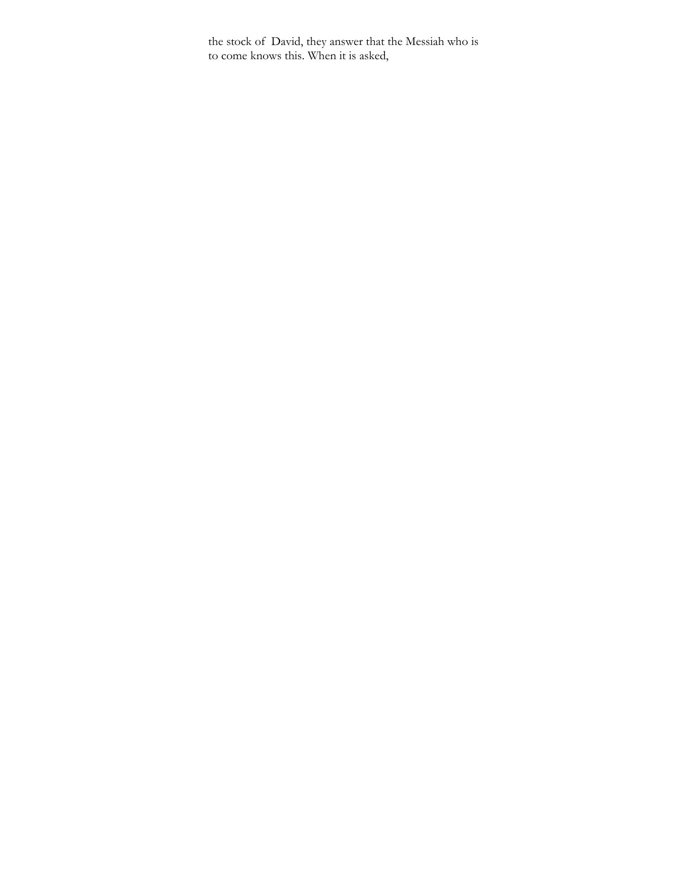the stock of David, they answer that the Messiah who is to come knows this. When it is asked,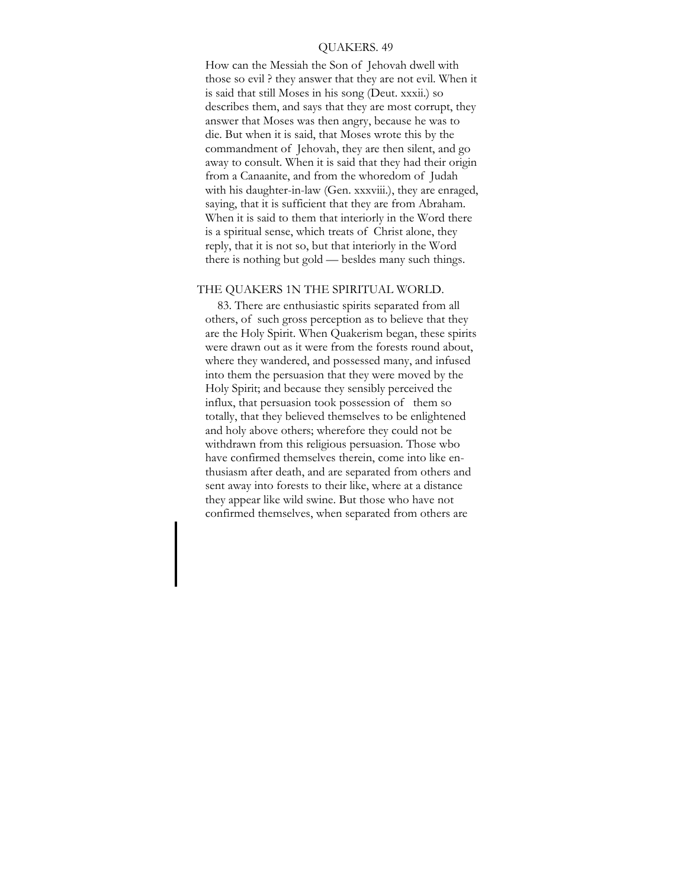### QUAKERS. 49

How can the Messiah the Son of Jehovah dwell with those so evil ? they answer that they are not evil. When it is said that still Moses in his song (Deut. xxxii.) so describes them, and says that they are most corrupt, they answer that Moses was then angry, because he was to die. But when it is said, that Moses wrote this by the commandment of Jehovah, they are then silent, and go away to consult. When it is said that they had their origin from a Canaanite, and from the whoredom of Judah with his daughter-in-law (Gen. xxxviii.), they are enraged, saying, that it is sufficient that they are from Abraham. When it is said to them that interiorly in the Word there is a spiritual sense, which treats of Christ alone, they reply, that it is not so, but that interiorly in the Word there is nothing but gold — besldes many such things.

## THE QUAKERS 1N THE SPIRITUAL WORLD.

83. There are enthusiastic spirits separated from all others, of such gross perception as to believe that they are the Holy Spirit. When Quakerism began, these spirits were drawn out as it were from the forests round about, where they wandered, and possessed many, and infused into them the persuasion that they were moved by the Holy Spirit; and because they sensibly perceived the influx, that persuasion took possession of them so totally, that they believed themselves to be enlightened and holy above others; wherefore they could not be withdrawn from this religious persuasion. Those wbo have confirmed themselves therein, come into like enthusiasm after death, and are separated from others and sent away into forests to their like, where at a distance they appear like wild swine. But those who have not confirmed themselves, when separated from others are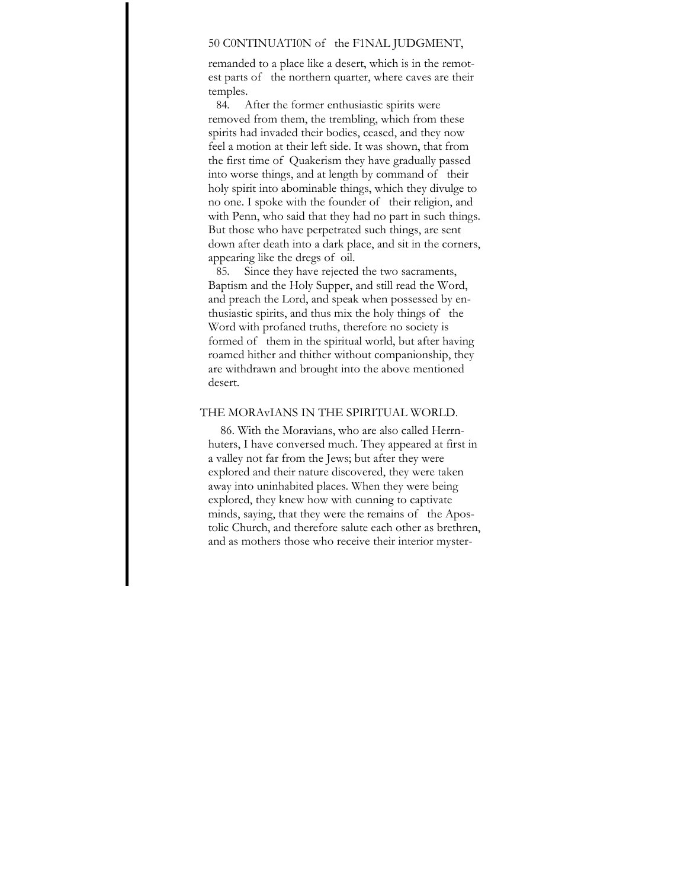## 50 C0NTINUATI0N of the F1NAL JUDGMENT,

remanded to a place like a desert, which is in the remotest parts of the northern quarter, where caves are their temples.

84. After the former enthusiastic spirits were removed from them, the trembling, which from these spirits had invaded their bodies, ceased, and they now feel a motion at their left side. It was shown, that from the first time of Quakerism they have gradually passed into worse things, and at length by command of their holy spirit into abominable things, which they divulge to no one. I spoke with the founder of their religion, and with Penn, who said that they had no part in such things. But those who have perpetrated such things, are sent down after death into a dark place, and sit in the corners, appearing like the dregs of oil.

85. Since they have rejected the two sacraments, Baptism and the Holy Supper, and still read the Word, and preach the Lord, and speak when possessed by enthusiastic spirits, and thus mix the holy things of the Word with profaned truths, therefore no society is formed of them in the spiritual world, but after having roamed hither and thither without companionship, they are withdrawn and brought into the above mentioned desert.

## THE MORAvIANS IN THE SPIRITUAL WORLD.

86. With the Moravians, who are also called Herrnhuters, I have conversed much. They appeared at first in a valley not far from the Jews; but after they were explored and their nature discovered, they were taken away into uninhabited places. When they were being explored, they knew how with cunning to captivate minds, saying, that they were the remains of the Apostolic Church, and therefore salute each other as brethren, and as mothers those who receive their interior myster-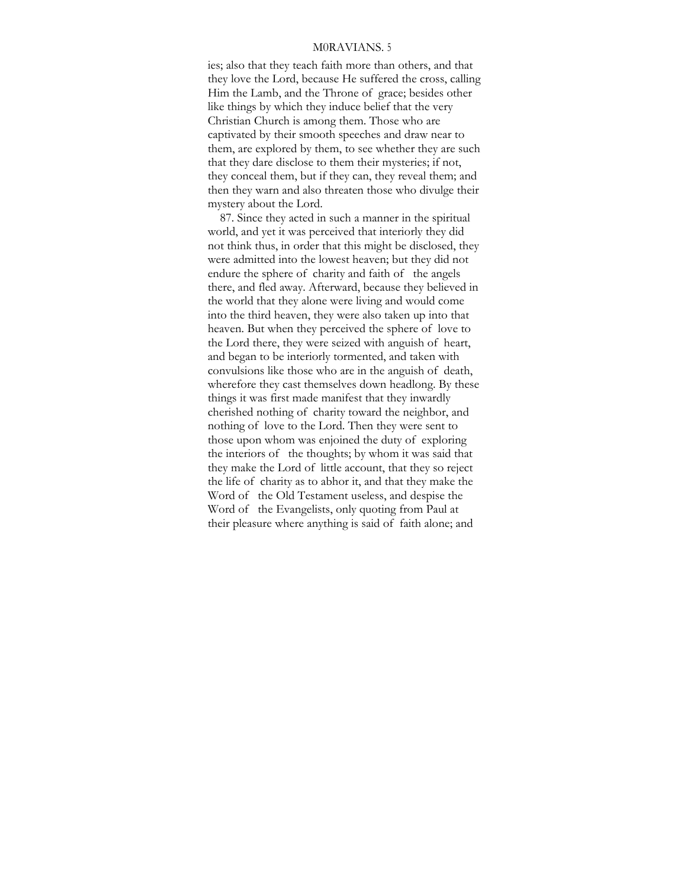## M0RAVIANS. 5

ies; also that they teach faith more than others, and that they love the Lord, because He suffered the cross, calling Him the Lamb, and the Throne of grace; besides other like things by which they induce belief that the very Christian Church is among them. Those who are captivated by their smooth speeches and draw near to them, are explored by them, to see whether they are such that they dare disclose to them their mysteries; if not, they conceal them, but if they can, they reveal them; and then they warn and also threaten those who divulge their mystery about the Lord.

87. Since they acted in such a manner in the spiritual world, and yet it was perceived that interiorly they did not think thus, in order that this might be disclosed, they were admitted into the lowest heaven; but they did not endure the sphere of charity and faith of the angels there, and fled away. Afterward, because they believed in the world that they alone were living and would come into the third heaven, they were also taken up into that heaven. But when they perceived the sphere of love to the Lord there, they were seized with anguish of heart, and began to be interiorly tormented, and taken with convulsions like those who are in the anguish of death, wherefore they cast themselves down headlong. By these things it was first made manifest that they inwardly cherished nothing of charity toward the neighbor, and nothing of love to the Lord. Then they were sent to those upon whom was enjoined the duty of exploring the interiors of the thoughts; by whom it was said that they make the Lord of little account, that they so reject the life of charity as to abhor it, and that they make the Word of the Old Testament useless, and despise the Word of the Evangelists, only quoting from Paul at their pleasure where anything is said of faith alone; and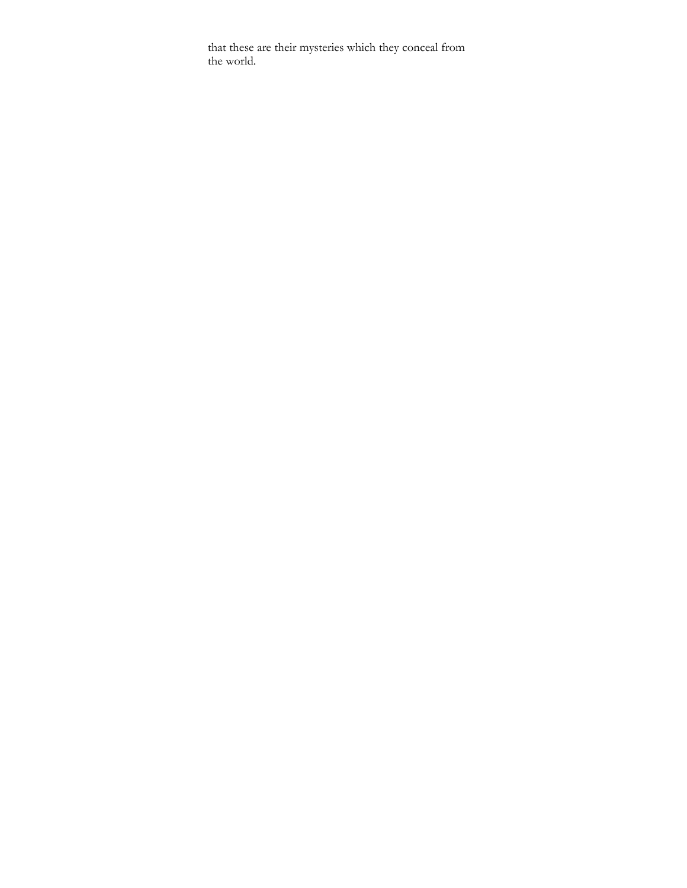that these are their mysteries which they conceal from the world.